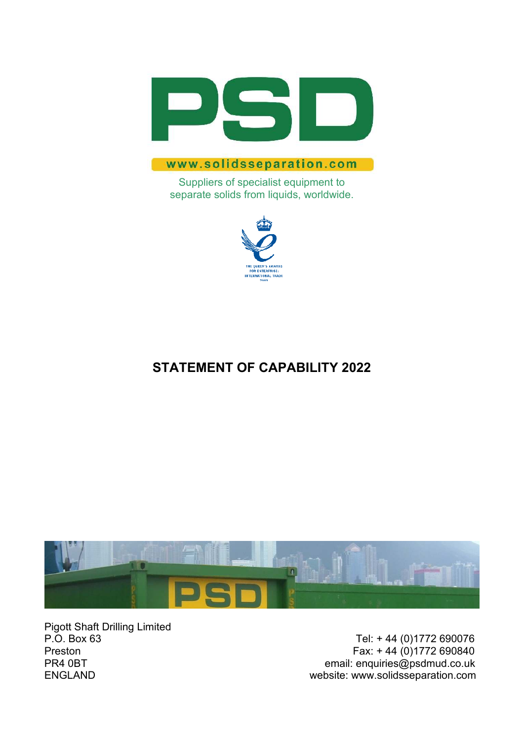

### www.solidsseparation.com

Suppliers of specialist equipment to separate solids from liquids, worldwide.



## **STATEMENT OF CAPABILITY 2022**



Pigott Shaft Drilling Limited<br>P.O. Box 63

P.O. Box 63 Tel: + 44 (0)1772 690076<br>Preston Fax: + 44 (0)1772 690840 Fax:  $+ 44 (0)1772 690840$ PR4 0BT email: enquiries@psdmud.co.uk ENGLAND website: www.solidsseparation.com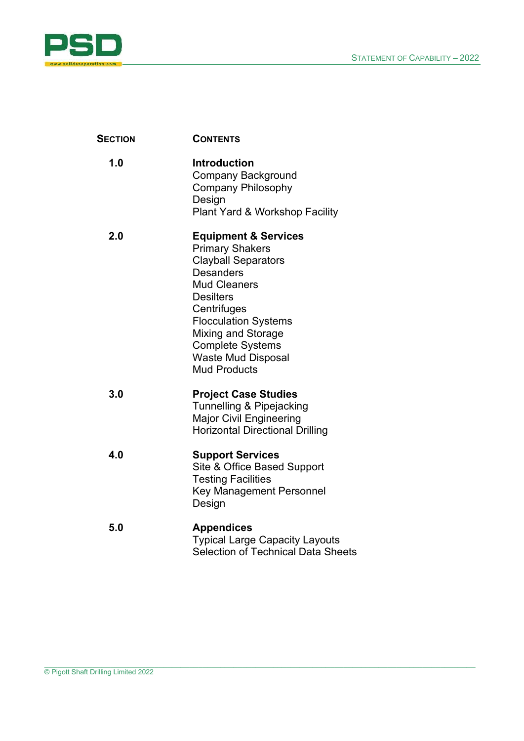

| <b>SECTION</b> | <b>CONTENTS</b>                                                                                                                                                                                                                                                                                           |
|----------------|-----------------------------------------------------------------------------------------------------------------------------------------------------------------------------------------------------------------------------------------------------------------------------------------------------------|
| 1.0            | <b>Introduction</b><br><b>Company Background</b><br><b>Company Philosophy</b><br>Design<br><b>Plant Yard &amp; Workshop Facility</b>                                                                                                                                                                      |
| 2.0            | <b>Equipment &amp; Services</b><br><b>Primary Shakers</b><br><b>Clayball Separators</b><br><b>Desanders</b><br><b>Mud Cleaners</b><br><b>Desilters</b><br>Centrifuges<br><b>Flocculation Systems</b><br>Mixing and Storage<br><b>Complete Systems</b><br><b>Waste Mud Disposal</b><br><b>Mud Products</b> |
| 3.0            | <b>Project Case Studies</b><br>Tunnelling & Pipejacking<br><b>Major Civil Engineering</b><br><b>Horizontal Directional Drilling</b>                                                                                                                                                                       |
| 4.0            | <b>Support Services</b><br>Site & Office Based Support<br><b>Testing Facilities</b><br><b>Key Management Personnel</b><br>Design                                                                                                                                                                          |
| 5.0            | <b>Appendices</b><br><b>Typical Large Capacity Layouts</b><br><b>Selection of Technical Data Sheets</b>                                                                                                                                                                                                   |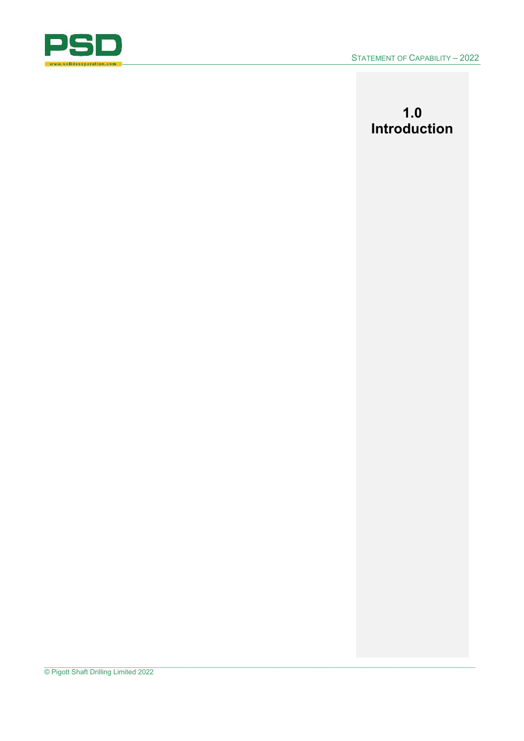

# **1.0 Introduction**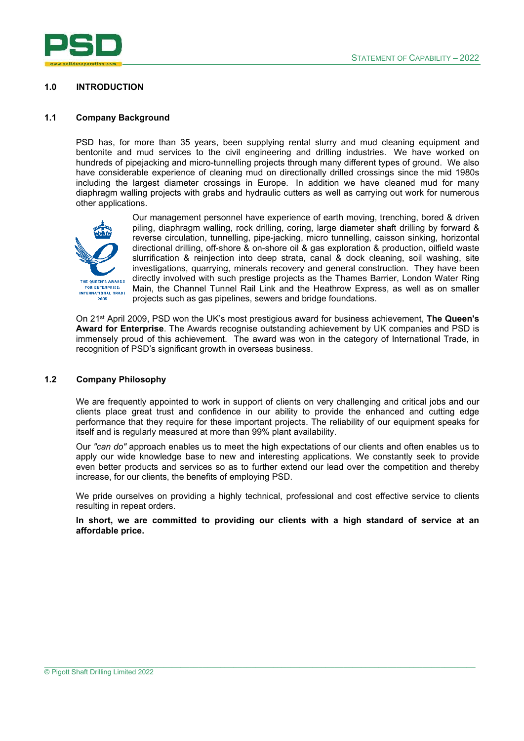

#### **1.0 INTRODUCTION**

#### **1.1 Company Background**

PSD has, for more than 35 years, been supplying rental slurry and mud cleaning equipment and bentonite and mud services to the civil engineering and drilling industries. We have worked on hundreds of pipejacking and micro-tunnelling projects through many different types of ground. We also have considerable experience of cleaning mud on directionally drilled crossings since the mid 1980s including the largest diameter crossings in Europe. In addition we have cleaned mud for many diaphragm walling projects with grabs and hydraulic cutters as well as carrying out work for numerous other applications.



Our management personnel have experience of earth moving, trenching, bored & driven piling, diaphragm walling, rock drilling, coring, large diameter shaft drilling by forward & reverse circulation, tunnelling, pipe-jacking, micro tunnelling, caisson sinking, horizontal directional drilling, off-shore & on-shore oil & gas exploration & production, oilfield waste slurrification & reinjection into deep strata, canal & dock cleaning, soil washing, site investigations, quarrying, minerals recovery and general construction. They have been directly involved with such prestige projects as the Thames Barrier, London Water Ring Main, the Channel Tunnel Rail Link and the Heathrow Express, as well as on smaller projects such as gas pipelines, sewers and bridge foundations.

On 21st April 2009, PSD won the UK's most prestigious award for business achievement, **The Queen's Award for Enterprise**. The Awards recognise outstanding achievement by UK companies and PSD is immensely proud of this achievement. The award was won in the category of International Trade, in recognition of PSD's significant growth in overseas business.

#### **1.2 Company Philosophy**

We are frequently appointed to work in support of clients on very challenging and critical jobs and our clients place great trust and confidence in our ability to provide the enhanced and cutting edge performance that they require for these important projects. The reliability of our equipment speaks for itself and is regularly measured at more than 99% plant availability.

Our *"can do"* approach enables us to meet the high expectations of our clients and often enables us to apply our wide knowledge base to new and interesting applications. We constantly seek to provide even better products and services so as to further extend our lead over the competition and thereby increase, for our clients, the benefits of employing PSD.

We pride ourselves on providing a highly technical, professional and cost effective service to clients resulting in repeat orders.

**In short, we are committed to providing our clients with a high standard of service at an affordable price.**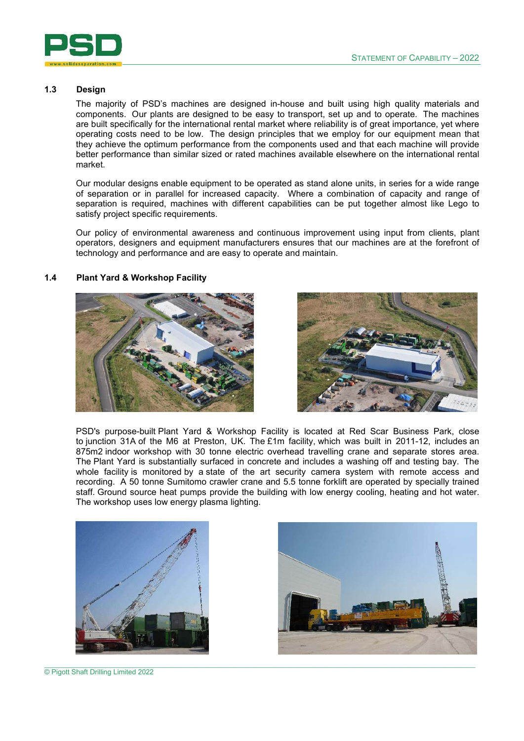

#### **1.3 Design**

The majority of PSD's machines are designed in-house and built using high quality materials and components. Our plants are designed to be easy to transport, set up and to operate. The machines are built specifically for the international rental market where reliability is of great importance, yet where operating costs need to be low. The design principles that we employ for our equipment mean that they achieve the optimum performance from the components used and that each machine will provide better performance than similar sized or rated machines available elsewhere on the international rental market.

Our modular designs enable equipment to be operated as stand alone units, in series for a wide range of separation or in parallel for increased capacity. Where a combination of capacity and range of separation is required, machines with different capabilities can be put together almost like Lego to satisfy project specific requirements.

Our policy of environmental awareness and continuous improvement using input from clients, plant operators, designers and equipment manufacturers ensures that our machines are at the forefront of technology and performance and are easy to operate and maintain.

#### **1.4 Plant Yard & Workshop Facility**





PSD's purpose-built Plant Yard & Workshop Facility is located at Red Scar Business Park, close to junction 31A of the M6 at Preston, UK. The £1m facility, which was built in 2011-12, includes an 875m2 indoor workshop with 30 tonne electric overhead travelling crane and separate stores area. The Plant Yard is substantially surfaced in concrete and includes a washing off and testing bay. The whole facility is monitored by a state of the art security camera system with remote access and recording. A 50 tonne Sumitomo crawler crane and 5.5 tonne forklift are operated by specially trained staff. Ground source heat pumps provide the building with low energy cooling, heating and hot water. The workshop uses low energy plasma lighting.





© Pigott Shaft Drilling Limited 2022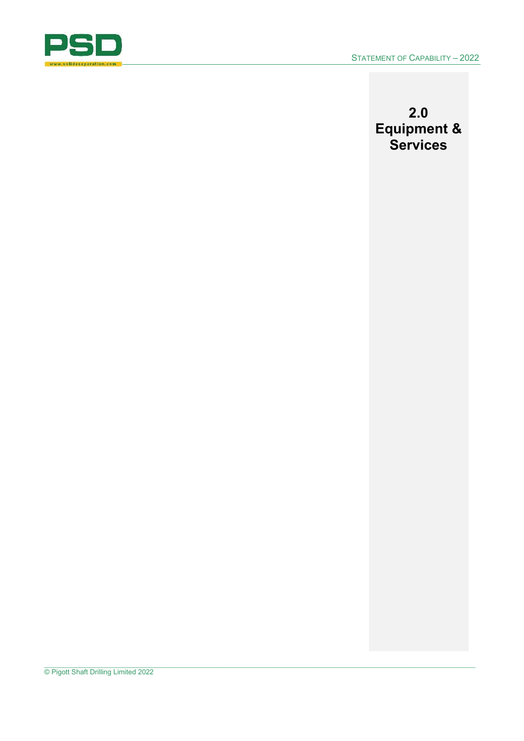

## **2.0 Equipment & Services**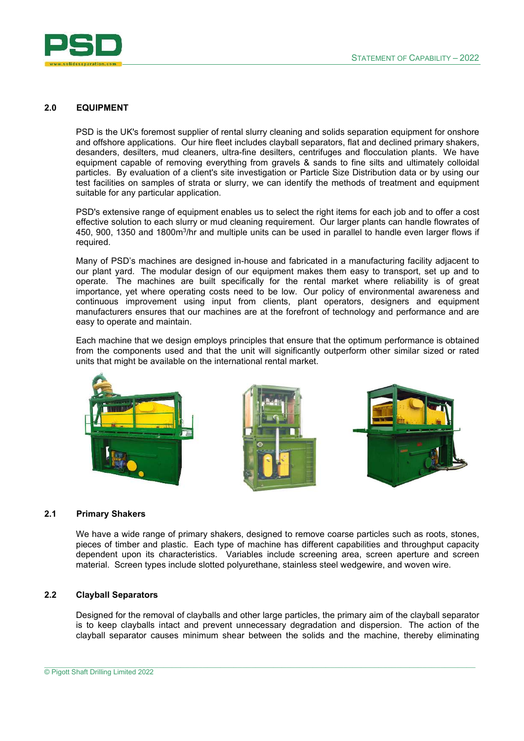

#### **2.0 EQUIPMENT**

PSD is the UK's foremost supplier of rental slurry cleaning and solids separation equipment for onshore and offshore applications. Our hire fleet includes clayball separators, flat and declined primary shakers, desanders, desilters, mud cleaners, ultra-fine desilters, centrifuges and flocculation plants. We have equipment capable of removing everything from gravels & sands to fine silts and ultimately colloidal particles. By evaluation of a client's site investigation or Particle Size Distribution data or by using our test facilities on samples of strata or slurry, we can identify the methods of treatment and equipment suitable for any particular application.

PSD's extensive range of equipment enables us to select the right items for each job and to offer a cost effective solution to each slurry or mud cleaning requirement. Our larger plants can handle flowrates of 450, 900, 1350 and 1800m $^3$ /hr and multiple units can be used in parallel to handle even larger flows if required.

Many of PSD's machines are designed in-house and fabricated in a manufacturing facility adjacent to our plant yard. The modular design of our equipment makes them easy to transport, set up and to operate. The machines are built specifically for the rental market where reliability is of great importance, yet where operating costs need to be low. Our policy of environmental awareness and continuous improvement using input from clients, plant operators, designers and equipment manufacturers ensures that our machines are at the forefront of technology and performance and are easy to operate and maintain.

Each machine that we design employs principles that ensure that the optimum performance is obtained from the components used and that the unit will significantly outperform other similar sized or rated units that might be available on the international rental market.



#### **2.1 Primary Shakers**

We have a wide range of primary shakers, designed to remove coarse particles such as roots, stones, pieces of timber and plastic. Each type of machine has different capabilities and throughput capacity dependent upon its characteristics. Variables include screening area, screen aperture and screen material. Screen types include slotted polyurethane, stainless steel wedgewire, and woven wire.

#### **2.2 Clayball Separators**

Designed for the removal of clayballs and other large particles, the primary aim of the clayball separator is to keep clayballs intact and prevent unnecessary degradation and dispersion. The action of the clayball separator causes minimum shear between the solids and the machine, thereby eliminating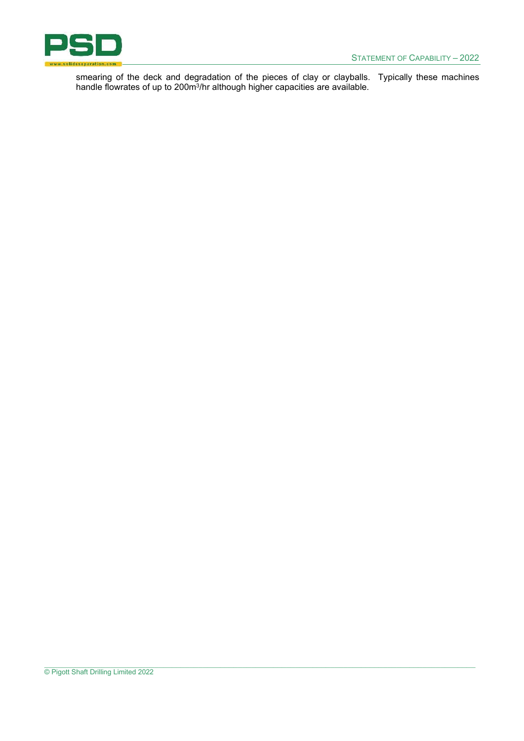

smearing of the deck and degradation of the pieces of clay or clayballs. Typically these machines handle flowrates of up to 200m<sup>3</sup>/hr although higher capacities are available.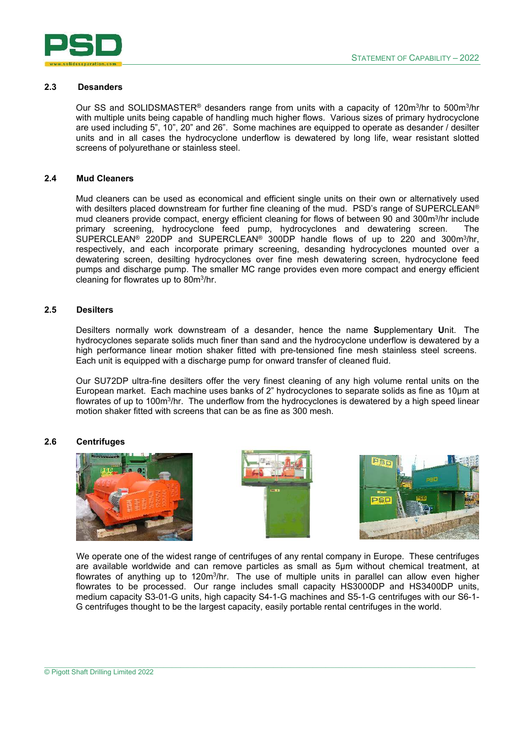

#### **2.3 Desanders**

Our SS and SOLIDSMASTER® desanders range from units with a capacity of 120m<sup>3</sup> /hr to 500m<sup>3</sup> /hr with multiple units being capable of handling much higher flows. Various sizes of primary hydrocyclone are used including 5", 10", 20" and 26". Some machines are equipped to operate as desander / desilter units and in all cases the hydrocyclone underflow is dewatered by long life, wear resistant slotted screens of polyurethane or stainless steel.

#### **2.4 Mud Cleaners**

Mud cleaners can be used as economical and efficient single units on their own or alternatively used with desilters placed downstream for further fine cleaning of the mud. PSD's range of SUPERCLEAN® mud cleaners provide compact, energy efficient cleaning for flows of between 90 and 300m<sup>3</sup>/hr include primary screening, hydrocyclone feed pump, hydrocyclones and dewatering screen. The SUPERCLEAN® 220DP and SUPERCLEAN® 300DP handle flows of up to 220 and 300m<sup>3</sup>/hr, respectively, and each incorporate primary screening, desanding hydrocyclones mounted over a dewatering screen, desilting hydrocyclones over fine mesh dewatering screen, hydrocyclone feed pumps and discharge pump. The smaller MC range provides even more compact and energy efficient cleaning for flowrates up to 80m<sup>3</sup> /hr.

#### **2.5 Desilters**

Desilters normally work downstream of a desander, hence the name **S**upplementary **U**nit. The hydrocyclones separate solids much finer than sand and the hydrocyclone underflow is dewatered by a high performance linear motion shaker fitted with pre-tensioned fine mesh stainless steel screens. Each unit is equipped with a discharge pump for onward transfer of cleaned fluid.

Our SU72DP ultra-fine desilters offer the very finest cleaning of any high volume rental units on the European market. Each machine uses banks of 2" hydrocyclones to separate solids as fine as 10µm at flowrates of up to 100m<sup>3</sup>/hr. The underflow from the hydrocyclones is dewatered by a high speed linear motion shaker fitted with screens that can be as fine as 300 mesh.

#### **2.6 Centrifuges**







We operate one of the widest range of centrifuges of any rental company in Europe. These centrifuges are available worldwide and can remove particles as small as 5µm without chemical treatment, at flowrates of anything up to 120m<sup>3</sup>/hr. The use of multiple units in parallel can allow even higher flowrates to be processed. Our range includes small capacity HS3000DP and HS3400DP units, medium capacity S3-01-G units, high capacity S4-1-G machines and S5-1-G centrifuges with our S6-1- G centrifuges thought to be the largest capacity, easily portable rental centrifuges in the world.

 $\_$  , and the state of the state of the state of the state of the state of the state of the state of the state of the state of the state of the state of the state of the state of the state of the state of the state of the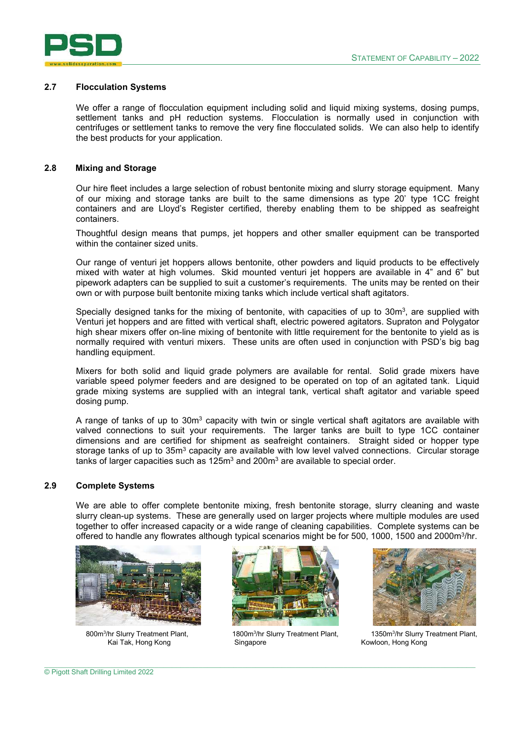

#### **2.7 Flocculation Systems**

We offer a range of flocculation equipment including solid and liquid mixing systems, dosing pumps, settlement tanks and pH reduction systems. Flocculation is normally used in conjunction with centrifuges or settlement tanks to remove the very fine flocculated solids. We can also help to identify the best products for your application.

#### **2.8 Mixing and Storage**

Our hire fleet includes a large selection of robust bentonite mixing and slurry storage equipment. Many of our mixing and storage tanks are built to the same dimensions as type 20' type 1CC freight containers and are Lloyd's Register certified, thereby enabling them to be shipped as seafreight containers.

Thoughtful design means that pumps, jet hoppers and other smaller equipment can be transported within the container sized units.

Our range of venturi jet hoppers allows bentonite, other powders and liquid products to be effectively mixed with water at high volumes. Skid mounted venturi jet hoppers are available in 4" and 6" but pipework adapters can be supplied to suit a customer's requirements. The units may be rented on their own or with purpose built bentonite mixing tanks which include vertical shaft agitators.

Specially designed tanks for the mixing of bentonite, with capacities of up to  $30<sup>m</sup>$ , are supplied with Venturi jet hoppers and are fitted with vertical shaft, electric powered agitators. Supraton and Polygator high shear mixers offer on-line mixing of bentonite with little requirement for the bentonite to yield as is normally required with venturi mixers. These units are often used in conjunction with PSD's big bag handling equipment.

Mixers for both solid and liquid grade polymers are available for rental. Solid grade mixers have variable speed polymer feeders and are designed to be operated on top of an agitated tank. Liquid grade mixing systems are supplied with an integral tank, vertical shaft agitator and variable speed dosing pump.

A range of tanks of up to 30m $^3$  capacity with twin or single vertical shaft agitators are available with valved connections to suit your requirements. The larger tanks are built to type 1CC container dimensions and are certified for shipment as seafreight containers. Straight sided or hopper type storage tanks of up to 35m $^3$  capacity are available with low level valved connections.  $\,$  Circular storage tanks of larger capacities such as 125 $\mathrm{m}^3$  and 200 $\mathrm{m}^3$  are available to special order.

#### **2.9 Complete Systems**

We are able to offer complete bentonite mixing, fresh bentonite storage, slurry cleaning and waste slurry clean-up systems. These are generally used on larger projects where multiple modules are used together to offer increased capacity or a wide range of cleaning capabilities. Complete systems can be offered to handle any flowrates although typical scenarios might be for 500, 1000, 1500 and 2000m<sup>3</sup>/hr.



800m<sup>3</sup>/hr Slurry Treatment Plant, 1800m<sup>3</sup>



1800m<sup>3</sup>/hr Slurry Treatment Plant, Singapore Kai Tak, Hong Kong Kong Singapore Kowloon, Hong Kong Kome



1350m<sup>3</sup>/hr Slurry Treatment Plant,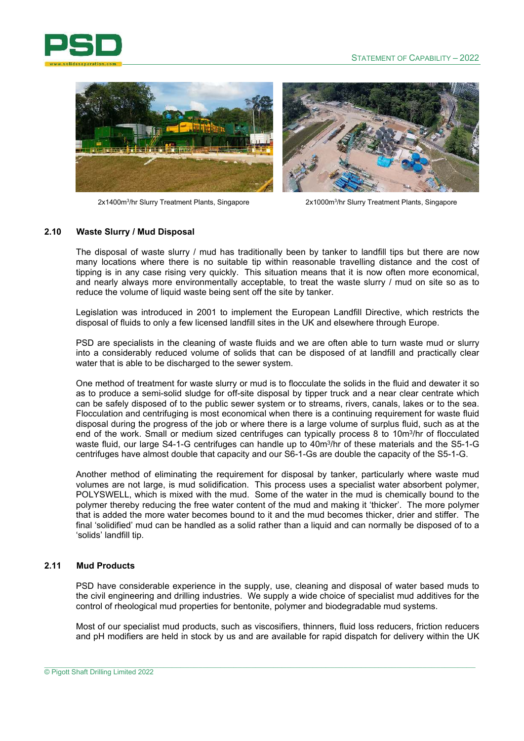



2x1400m<sup>3</sup>/hr Slurry Treatment Plants, Singapore 2x1000m<sup>3</sup>



2x1000m<sup>3</sup>/hr Slurry Treatment Plants, Singapore

#### **2.10 Waste Slurry / Mud Disposal**

The disposal of waste slurry / mud has traditionally been by tanker to landfill tips but there are now many locations where there is no suitable tip within reasonable travelling distance and the cost of tipping is in any case rising very quickly. This situation means that it is now often more economical, and nearly always more environmentally acceptable, to treat the waste slurry / mud on site so as to reduce the volume of liquid waste being sent off the site by tanker.

Legislation was introduced in 2001 to implement the European Landfill Directive, which restricts the disposal of fluids to only a few licensed landfill sites in the UK and elsewhere through Europe.

PSD are specialists in the cleaning of waste fluids and we are often able to turn waste mud or slurry into a considerably reduced volume of solids that can be disposed of at landfill and practically clear water that is able to be discharged to the sewer system.

One method of treatment for waste slurry or mud is to flocculate the solids in the fluid and dewater it so as to produce a semi-solid sludge for off-site disposal by tipper truck and a near clear centrate which can be safely disposed of to the public sewer system or to streams, rivers, canals, lakes or to the sea. Flocculation and centrifuging is most economical when there is a continuing requirement for waste fluid disposal during the progress of the job or where there is a large volume of surplus fluid, such as at the end of the work. Small or medium sized centrifuges can typically process 8 to 10m<sup>3</sup>/hr of flocculated waste fluid, our large S4-1-G centrifuges can handle up to 40m<sup>3</sup> /hr of these materials and the S5-1-G centrifuges have almost double that capacity and our S6-1-Gs are double the capacity of the S5-1-G.

Another method of eliminating the requirement for disposal by tanker, particularly where waste mud volumes are not large, is mud solidification. This process uses a specialist water absorbent polymer, POLYSWELL, which is mixed with the mud. Some of the water in the mud is chemically bound to the polymer thereby reducing the free water content of the mud and making it 'thicker'. The more polymer that is added the more water becomes bound to it and the mud becomes thicker, drier and stiffer. The final 'solidified' mud can be handled as a solid rather than a liquid and can normally be disposed of to a 'solids' landfill tip.

#### **2.11 Mud Products**

PSD have considerable experience in the supply, use, cleaning and disposal of water based muds to the civil engineering and drilling industries. We supply a wide choice of specialist mud additives for the control of rheological mud properties for bentonite, polymer and biodegradable mud systems.

Most of our specialist mud products, such as viscosifiers, thinners, fluid loss reducers, friction reducers and pH modifiers are held in stock by us and are available for rapid dispatch for delivery within the UK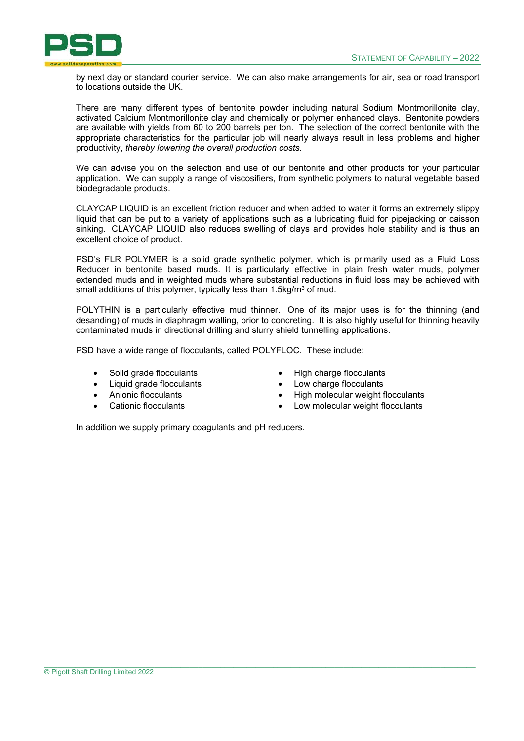

by next day or standard courier service. We can also make arrangements for air, sea or road transport to locations outside the UK.

There are many different types of bentonite powder including natural Sodium Montmorillonite clay, activated Calcium Montmorillonite clay and chemically or polymer enhanced clays. Bentonite powders are available with yields from 60 to 200 barrels per ton. The selection of the correct bentonite with the appropriate characteristics for the particular job will nearly always result in less problems and higher productivity, *thereby lowering the overall production costs.* 

We can advise you on the selection and use of our bentonite and other products for your particular application. We can supply a range of viscosifiers, from synthetic polymers to natural vegetable based biodegradable products.

CLAYCAP LIQUID is an excellent friction reducer and when added to water it forms an extremely slippy liquid that can be put to a variety of applications such as a lubricating fluid for pipejacking or caisson sinking. CLAYCAP LIQUID also reduces swelling of clays and provides hole stability and is thus an excellent choice of product.

PSD's FLR POLYMER is a solid grade synthetic polymer, which is primarily used as a **F**luid **L**oss **R**educer in bentonite based muds. It is particularly effective in plain fresh water muds, polymer extended muds and in weighted muds where substantial reductions in fluid loss may be achieved with small additions of this polymer, typically less than 1.5 $kg/m^3$  of mud.

POLYTHIN is a particularly effective mud thinner. One of its major uses is for the thinning (and desanding) of muds in diaphragm walling, prior to concreting. It is also highly useful for thinning heavily contaminated muds in directional drilling and slurry shield tunnelling applications.

PSD have a wide range of flocculants, called POLYFLOC. These include:

- Solid grade flocculants
- Liquid grade flocculants
- Anionic flocculants
- Cationic flocculants
- High charge flocculants
- Low charge flocculants
- High molecular weight flocculants
- Low molecular weight flocculants

In addition we supply primary coagulants and pH reducers.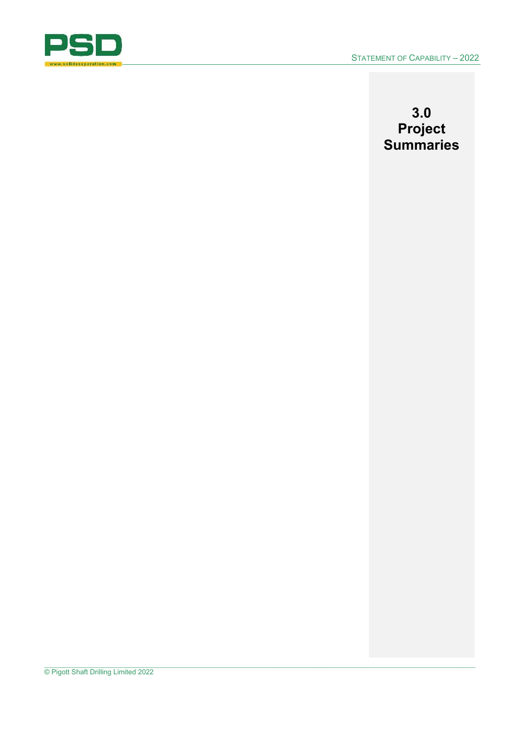

## **3.0 Project Summaries**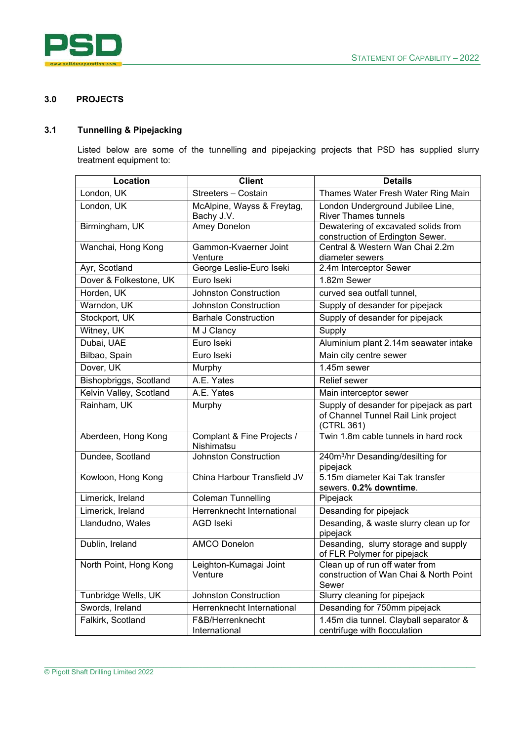

#### **3.0 PROJECTS**

### **3.1 Tunnelling & Pipejacking**

Listed below are some of the tunnelling and pipejacking projects that PSD has supplied slurry treatment equipment to:

| London, UK<br>Streeters - Costain<br>Thames Water Fresh Water Ring Main<br>London, UK<br>McAlpine, Wayss & Freytag,<br>London Underground Jubilee Line,<br>Bachy J.V.<br><b>River Thames tunnels</b><br>Dewatering of excavated solids from<br>Birmingham, UK<br>Amey Donelon<br>construction of Erdington Sewer.<br>Gammon-Kvaerner Joint<br>Central & Western Wan Chai 2.2m<br>Wanchai, Hong Kong<br>Venture<br>diameter sewers<br>Ayr, Scotland<br>George Leslie-Euro Iseki<br>2.4m Interceptor Sewer<br>Euro Iseki<br>Dover & Folkestone, UK<br>1.82m Sewer<br>Horden, UK<br><b>Johnston Construction</b><br>curved sea outfall tunnel,<br>Warndon, UK<br><b>Johnston Construction</b><br>Supply of desander for pipejack<br>Stockport, UK<br>Supply of desander for pipejack<br><b>Barhale Construction</b><br>Witney, UK<br>Supply<br>M J Clancy<br>Dubai, UAE<br>Euro Iseki<br>Aluminium plant 2.14m seawater intake<br>Bilbao, Spain<br>Euro Iseki<br>Main city centre sewer<br>Dover, UK<br>$1.45m$ sewer<br>Murphy<br>Bishopbriggs, Scotland<br>A.E. Yates<br><b>Relief</b> sewer<br>Kelvin Valley, Scotland<br>A.E. Yates<br>Main interceptor sewer<br>Rainham, UK<br>Supply of desander for pipejack as part<br>Murphy<br>of Channel Tunnel Rail Link project<br>(CTRL 361)<br>Complant & Fine Projects /<br>Twin 1.8m cable tunnels in hard rock<br>Aberdeen, Hong Kong | Location | <b>Client</b> | <b>Details</b> |
|--------------------------------------------------------------------------------------------------------------------------------------------------------------------------------------------------------------------------------------------------------------------------------------------------------------------------------------------------------------------------------------------------------------------------------------------------------------------------------------------------------------------------------------------------------------------------------------------------------------------------------------------------------------------------------------------------------------------------------------------------------------------------------------------------------------------------------------------------------------------------------------------------------------------------------------------------------------------------------------------------------------------------------------------------------------------------------------------------------------------------------------------------------------------------------------------------------------------------------------------------------------------------------------------------------------------------------------------------------------------------------------|----------|---------------|----------------|
|                                                                                                                                                                                                                                                                                                                                                                                                                                                                                                                                                                                                                                                                                                                                                                                                                                                                                                                                                                                                                                                                                                                                                                                                                                                                                                                                                                                      |          |               |                |
|                                                                                                                                                                                                                                                                                                                                                                                                                                                                                                                                                                                                                                                                                                                                                                                                                                                                                                                                                                                                                                                                                                                                                                                                                                                                                                                                                                                      |          |               |                |
|                                                                                                                                                                                                                                                                                                                                                                                                                                                                                                                                                                                                                                                                                                                                                                                                                                                                                                                                                                                                                                                                                                                                                                                                                                                                                                                                                                                      |          |               |                |
|                                                                                                                                                                                                                                                                                                                                                                                                                                                                                                                                                                                                                                                                                                                                                                                                                                                                                                                                                                                                                                                                                                                                                                                                                                                                                                                                                                                      |          |               |                |
|                                                                                                                                                                                                                                                                                                                                                                                                                                                                                                                                                                                                                                                                                                                                                                                                                                                                                                                                                                                                                                                                                                                                                                                                                                                                                                                                                                                      |          |               |                |
|                                                                                                                                                                                                                                                                                                                                                                                                                                                                                                                                                                                                                                                                                                                                                                                                                                                                                                                                                                                                                                                                                                                                                                                                                                                                                                                                                                                      |          |               |                |
|                                                                                                                                                                                                                                                                                                                                                                                                                                                                                                                                                                                                                                                                                                                                                                                                                                                                                                                                                                                                                                                                                                                                                                                                                                                                                                                                                                                      |          |               |                |
|                                                                                                                                                                                                                                                                                                                                                                                                                                                                                                                                                                                                                                                                                                                                                                                                                                                                                                                                                                                                                                                                                                                                                                                                                                                                                                                                                                                      |          |               |                |
|                                                                                                                                                                                                                                                                                                                                                                                                                                                                                                                                                                                                                                                                                                                                                                                                                                                                                                                                                                                                                                                                                                                                                                                                                                                                                                                                                                                      |          |               |                |
|                                                                                                                                                                                                                                                                                                                                                                                                                                                                                                                                                                                                                                                                                                                                                                                                                                                                                                                                                                                                                                                                                                                                                                                                                                                                                                                                                                                      |          |               |                |
|                                                                                                                                                                                                                                                                                                                                                                                                                                                                                                                                                                                                                                                                                                                                                                                                                                                                                                                                                                                                                                                                                                                                                                                                                                                                                                                                                                                      |          |               |                |
|                                                                                                                                                                                                                                                                                                                                                                                                                                                                                                                                                                                                                                                                                                                                                                                                                                                                                                                                                                                                                                                                                                                                                                                                                                                                                                                                                                                      |          |               |                |
|                                                                                                                                                                                                                                                                                                                                                                                                                                                                                                                                                                                                                                                                                                                                                                                                                                                                                                                                                                                                                                                                                                                                                                                                                                                                                                                                                                                      |          |               |                |
|                                                                                                                                                                                                                                                                                                                                                                                                                                                                                                                                                                                                                                                                                                                                                                                                                                                                                                                                                                                                                                                                                                                                                                                                                                                                                                                                                                                      |          |               |                |
|                                                                                                                                                                                                                                                                                                                                                                                                                                                                                                                                                                                                                                                                                                                                                                                                                                                                                                                                                                                                                                                                                                                                                                                                                                                                                                                                                                                      |          |               |                |
|                                                                                                                                                                                                                                                                                                                                                                                                                                                                                                                                                                                                                                                                                                                                                                                                                                                                                                                                                                                                                                                                                                                                                                                                                                                                                                                                                                                      |          |               |                |
|                                                                                                                                                                                                                                                                                                                                                                                                                                                                                                                                                                                                                                                                                                                                                                                                                                                                                                                                                                                                                                                                                                                                                                                                                                                                                                                                                                                      |          |               |                |
|                                                                                                                                                                                                                                                                                                                                                                                                                                                                                                                                                                                                                                                                                                                                                                                                                                                                                                                                                                                                                                                                                                                                                                                                                                                                                                                                                                                      |          |               |                |
|                                                                                                                                                                                                                                                                                                                                                                                                                                                                                                                                                                                                                                                                                                                                                                                                                                                                                                                                                                                                                                                                                                                                                                                                                                                                                                                                                                                      |          |               |                |
|                                                                                                                                                                                                                                                                                                                                                                                                                                                                                                                                                                                                                                                                                                                                                                                                                                                                                                                                                                                                                                                                                                                                                                                                                                                                                                                                                                                      |          |               |                |
|                                                                                                                                                                                                                                                                                                                                                                                                                                                                                                                                                                                                                                                                                                                                                                                                                                                                                                                                                                                                                                                                                                                                                                                                                                                                                                                                                                                      |          |               |                |
| <b>Johnston Construction</b>                                                                                                                                                                                                                                                                                                                                                                                                                                                                                                                                                                                                                                                                                                                                                                                                                                                                                                                                                                                                                                                                                                                                                                                                                                                                                                                                                         |          | Nishimatsu    |                |
| 240m <sup>3</sup> /hr Desanding/desilting for<br>Dundee, Scotland<br>pipejack                                                                                                                                                                                                                                                                                                                                                                                                                                                                                                                                                                                                                                                                                                                                                                                                                                                                                                                                                                                                                                                                                                                                                                                                                                                                                                        |          |               |                |
| 5.15m diameter Kai Tak transfer<br>China Harbour Transfield JV<br>Kowloon, Hong Kong                                                                                                                                                                                                                                                                                                                                                                                                                                                                                                                                                                                                                                                                                                                                                                                                                                                                                                                                                                                                                                                                                                                                                                                                                                                                                                 |          |               |                |
| sewers. 0.2% downtime.                                                                                                                                                                                                                                                                                                                                                                                                                                                                                                                                                                                                                                                                                                                                                                                                                                                                                                                                                                                                                                                                                                                                                                                                                                                                                                                                                               |          |               |                |
| Limerick, Ireland<br><b>Coleman Tunnelling</b><br>Pipejack                                                                                                                                                                                                                                                                                                                                                                                                                                                                                                                                                                                                                                                                                                                                                                                                                                                                                                                                                                                                                                                                                                                                                                                                                                                                                                                           |          |               |                |
| Herrenknecht International<br>Limerick, Ireland<br>Desanding for pipejack                                                                                                                                                                                                                                                                                                                                                                                                                                                                                                                                                                                                                                                                                                                                                                                                                                                                                                                                                                                                                                                                                                                                                                                                                                                                                                            |          |               |                |
| Desanding, & waste slurry clean up for<br>Llandudno, Wales<br><b>AGD Iseki</b><br>pipejack                                                                                                                                                                                                                                                                                                                                                                                                                                                                                                                                                                                                                                                                                                                                                                                                                                                                                                                                                                                                                                                                                                                                                                                                                                                                                           |          |               |                |
| Desanding, slurry storage and supply<br>Dublin, Ireland<br><b>AMCO Donelon</b>                                                                                                                                                                                                                                                                                                                                                                                                                                                                                                                                                                                                                                                                                                                                                                                                                                                                                                                                                                                                                                                                                                                                                                                                                                                                                                       |          |               |                |
| of FLR Polymer for pipejack                                                                                                                                                                                                                                                                                                                                                                                                                                                                                                                                                                                                                                                                                                                                                                                                                                                                                                                                                                                                                                                                                                                                                                                                                                                                                                                                                          |          |               |                |
| North Point, Hong Kong<br>Leighton-Kumagai Joint<br>Clean up of run off water from                                                                                                                                                                                                                                                                                                                                                                                                                                                                                                                                                                                                                                                                                                                                                                                                                                                                                                                                                                                                                                                                                                                                                                                                                                                                                                   |          |               |                |
| construction of Wan Chai & North Point<br>Venture                                                                                                                                                                                                                                                                                                                                                                                                                                                                                                                                                                                                                                                                                                                                                                                                                                                                                                                                                                                                                                                                                                                                                                                                                                                                                                                                    |          |               |                |
| Sewer                                                                                                                                                                                                                                                                                                                                                                                                                                                                                                                                                                                                                                                                                                                                                                                                                                                                                                                                                                                                                                                                                                                                                                                                                                                                                                                                                                                |          |               |                |
| Tunbridge Wells, UK<br><b>Johnston Construction</b><br>Slurry cleaning for pipejack                                                                                                                                                                                                                                                                                                                                                                                                                                                                                                                                                                                                                                                                                                                                                                                                                                                                                                                                                                                                                                                                                                                                                                                                                                                                                                  |          |               |                |
| Swords, Ireland<br>Herrenknecht International<br>Desanding for 750mm pipejack                                                                                                                                                                                                                                                                                                                                                                                                                                                                                                                                                                                                                                                                                                                                                                                                                                                                                                                                                                                                                                                                                                                                                                                                                                                                                                        |          |               |                |
| Falkirk, Scotland<br>1.45m dia tunnel. Clayball separator &<br>F&B/Herrenknecht<br>centrifuge with flocculation<br>International                                                                                                                                                                                                                                                                                                                                                                                                                                                                                                                                                                                                                                                                                                                                                                                                                                                                                                                                                                                                                                                                                                                                                                                                                                                     |          |               |                |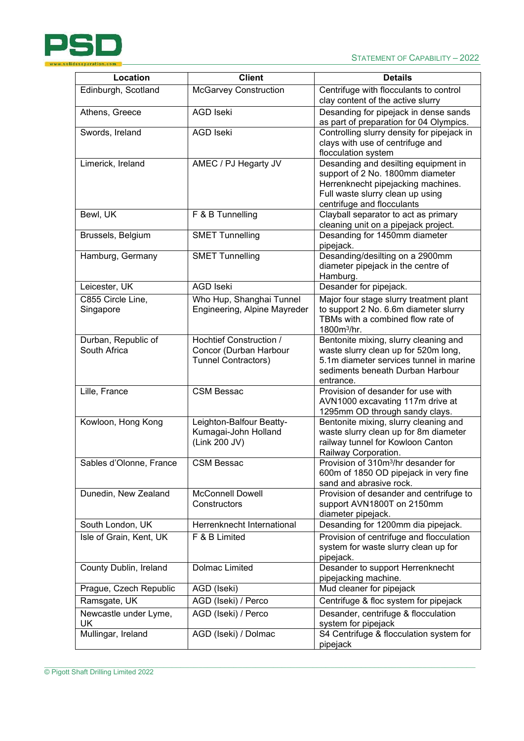

| Location                           | <b>Client</b>                | <b>Details</b>                                                                   |
|------------------------------------|------------------------------|----------------------------------------------------------------------------------|
| Edinburgh, Scotland                | <b>McGarvey Construction</b> | Centrifuge with flocculants to control                                           |
|                                    |                              | clay content of the active slurry                                                |
| Athens, Greece                     | <b>AGD Iseki</b>             | Desanding for pipejack in dense sands<br>as part of preparation for 04 Olympics. |
| Swords, Ireland                    | <b>AGD Iseki</b>             | Controlling slurry density for pipejack in                                       |
|                                    |                              | clays with use of centrifuge and                                                 |
|                                    |                              | flocculation system                                                              |
| Limerick, Ireland                  | AMEC / PJ Hegarty JV         | Desanding and desilting equipment in                                             |
|                                    |                              | support of 2 No. 1800mm diameter                                                 |
|                                    |                              | Herrenknecht pipejacking machines.                                               |
|                                    |                              | Full waste slurry clean up using                                                 |
|                                    |                              | centrifuge and flocculants                                                       |
| Bewl, UK                           | F & B Tunnelling             | Clayball separator to act as primary                                             |
|                                    |                              | cleaning unit on a pipejack project.                                             |
| Brussels, Belgium                  | <b>SMET Tunnelling</b>       | Desanding for 1450mm diameter                                                    |
| Hamburg, Germany                   | <b>SMET Tunnelling</b>       | pipejack.<br>Desanding/desilting on a 2900mm                                     |
|                                    |                              | diameter pipejack in the centre of                                               |
|                                    |                              | Hamburg.                                                                         |
| Leicester, UK                      | <b>AGD Iseki</b>             | Desander for pipejack.                                                           |
| C855 Circle Line,                  | Who Hup, Shanghai Tunnel     | Major four stage slurry treatment plant                                          |
| Singapore                          | Engineering, Alpine Mayreder | to support 2 No. 6.6m diameter slurry                                            |
|                                    |                              | TBMs with a combined flow rate of                                                |
|                                    |                              | $1800m^3/hr.$                                                                    |
| Durban, Republic of                | Hochtief Construction /      | Bentonite mixing, slurry cleaning and                                            |
| South Africa                       | Concor (Durban Harbour       | waste slurry clean up for 520m long,                                             |
|                                    | Tunnel Contractors)          | 5.1m diameter services tunnel in marine                                          |
|                                    |                              | sediments beneath Durban Harbour<br>entrance.                                    |
| Lille, France                      | <b>CSM Bessac</b>            | Provision of desander for use with                                               |
|                                    |                              | AVN1000 excavating 117m drive at                                                 |
|                                    |                              | 1295mm OD through sandy clays.                                                   |
| Kowloon, Hong Kong                 | Leighton-Balfour Beatty-     | Bentonite mixing, slurry cleaning and                                            |
|                                    | Kumagai-John Holland         | waste slurry clean up for 8m diameter                                            |
|                                    | (Link 200 JV)                | railway tunnel for Kowloon Canton                                                |
|                                    |                              | Railway Corporation.                                                             |
| Sables d'Olonne, France            | <b>CSM Bessac</b>            | Provision of 310m <sup>3</sup> /hr desander for                                  |
|                                    |                              | 600m of 1850 OD pipejack in very fine<br>sand and abrasive rock.                 |
| Dunedin, New Zealand               | <b>McConnell Dowell</b>      | Provision of desander and centrifuge to                                          |
|                                    | Constructors                 | support AVN1800T on 2150mm                                                       |
|                                    |                              | diameter pipejack.                                                               |
| South London, UK                   | Herrenknecht International   | Desanding for 1200mm dia pipejack.                                               |
| Isle of Grain, Kent, UK            | $\overline{F}$ & B Limited   | Provision of centrifuge and flocculation                                         |
|                                    |                              | system for waste slurry clean up for                                             |
|                                    |                              | pipejack.                                                                        |
| County Dublin, Ireland             | Dolmac Limited               | Desander to support Herrenknecht                                                 |
|                                    |                              | pipejacking machine.                                                             |
| Prague, Czech Republic             | AGD (Iseki)                  | Mud cleaner for pipejack                                                         |
| Ramsgate, UK                       | AGD (Iseki) / Perco          | Centrifuge & floc system for pipejack                                            |
| Newcastle under Lyme,<br><b>UK</b> | AGD (Iseki) / Perco          | Desander, centrifuge & flocculation<br>system for pipejack                       |
| Mullingar, Ireland                 | AGD (Iseki) / Dolmac         | S4 Centrifuge & flocculation system for                                          |
|                                    |                              | pipejack                                                                         |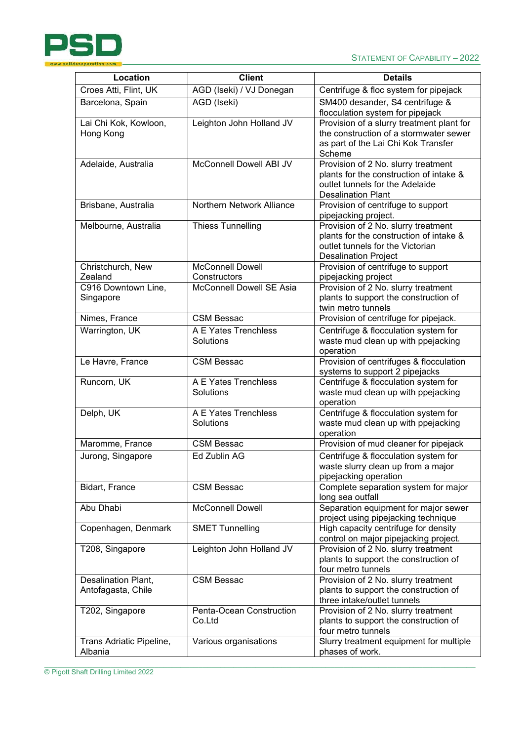

| Location                                  | <b>Client</b>                           | <b>Details</b>                                                                                                                                    |
|-------------------------------------------|-----------------------------------------|---------------------------------------------------------------------------------------------------------------------------------------------------|
| Croes Atti, Flint, UK                     | AGD (Iseki) / VJ Donegan                | Centrifuge & floc system for pipejack                                                                                                             |
| Barcelona, Spain                          | AGD (Iseki)                             | SM400 desander, S4 centrifuge &<br>flocculation system for pipejack                                                                               |
| Lai Chi Kok, Kowloon,<br>Hong Kong        | Leighton John Holland JV                | Provision of a slurry treatment plant for<br>the construction of a stormwater sewer<br>as part of the Lai Chi Kok Transfer<br>Scheme              |
| Adelaide, Australia                       | McConnell Dowell ABI JV                 | Provision of 2 No. slurry treatment<br>plants for the construction of intake &<br>outlet tunnels for the Adelaide<br><b>Desalination Plant</b>    |
| Brisbane, Australia                       | Northern Network Alliance               | Provision of centrifuge to support<br>pipejacking project.                                                                                        |
| Melbourne, Australia                      | <b>Thiess Tunnelling</b>                | Provision of 2 No. slurry treatment<br>plants for the construction of intake &<br>outlet tunnels for the Victorian<br><b>Desalination Project</b> |
| Christchurch, New<br>Zealand              | <b>McConnell Dowell</b><br>Constructors | Provision of centrifuge to support<br>pipejacking project                                                                                         |
| C916 Downtown Line,<br>Singapore          | <b>McConnell Dowell SE Asia</b>         | Provision of 2 No. slurry treatment<br>plants to support the construction of<br>twin metro tunnels                                                |
| Nimes, France                             | <b>CSM Bessac</b>                       | Provision of centrifuge for pipejack.                                                                                                             |
| Warrington, UK                            | A E Yates Trenchless<br>Solutions       | Centrifuge & flocculation system for<br>waste mud clean up with ppejacking<br>operation                                                           |
| Le Havre, France                          | <b>CSM Bessac</b>                       | Provision of centrifuges & flocculation<br>systems to support 2 pipejacks                                                                         |
| Runcorn, UK                               | A E Yates Trenchless<br>Solutions       | Centrifuge & flocculation system for<br>waste mud clean up with ppejacking<br>operation                                                           |
| Delph, UK                                 | A E Yates Trenchless<br>Solutions       | Centrifuge & flocculation system for<br>waste mud clean up with ppejacking<br>operation                                                           |
| Maromme, France                           | <b>CSM Bessac</b>                       | Provision of mud cleaner for pipejack                                                                                                             |
| Jurong, Singapore                         | Ed Zublin AG                            | Centrifuge & flocculation system for<br>waste slurry clean up from a major<br>pipejacking operation                                               |
| Bidart, France                            | <b>CSM Bessac</b>                       | Complete separation system for major<br>long sea outfall                                                                                          |
| Abu Dhabi                                 | <b>McConnell Dowell</b>                 | Separation equipment for major sewer<br>project using pipejacking technique                                                                       |
| Copenhagen, Denmark                       | <b>SMET Tunnelling</b>                  | High capacity centrifuge for density<br>control on major pipejacking project.                                                                     |
| T208, Singapore                           | Leighton John Holland JV                | Provision of 2 No. slurry treatment<br>plants to support the construction of<br>four metro tunnels                                                |
| Desalination Plant,<br>Antofagasta, Chile | <b>CSM Bessac</b>                       | Provision of 2 No. slurry treatment<br>plants to support the construction of<br>three intake/outlet tunnels                                       |
| T202, Singapore                           | Penta-Ocean Construction<br>Co.Ltd      | Provision of 2 No. slurry treatment<br>plants to support the construction of<br>four metro tunnels                                                |
| Trans Adriatic Pipeline,<br>Albania       | Various organisations                   | Slurry treatment equipment for multiple<br>phases of work.                                                                                        |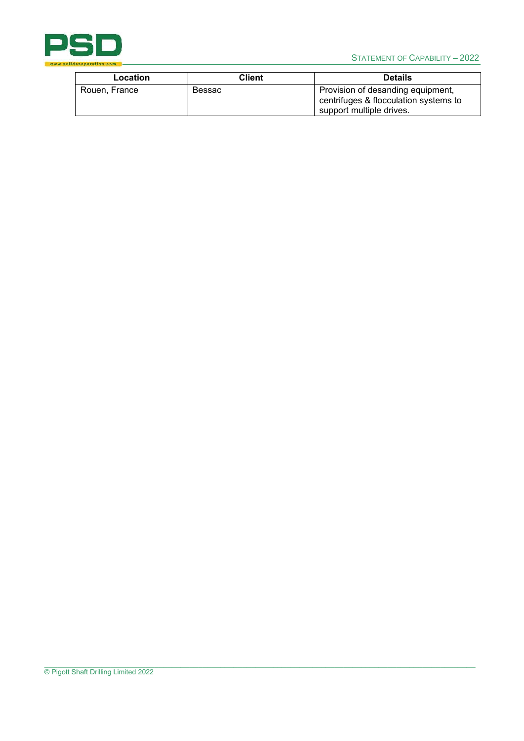

| Location      | Client | <b>Details</b>                                                                                         |
|---------------|--------|--------------------------------------------------------------------------------------------------------|
| Rouen, France | Bessac | Provision of desanding equipment,<br>centrifuges & flocculation systems to<br>support multiple drives. |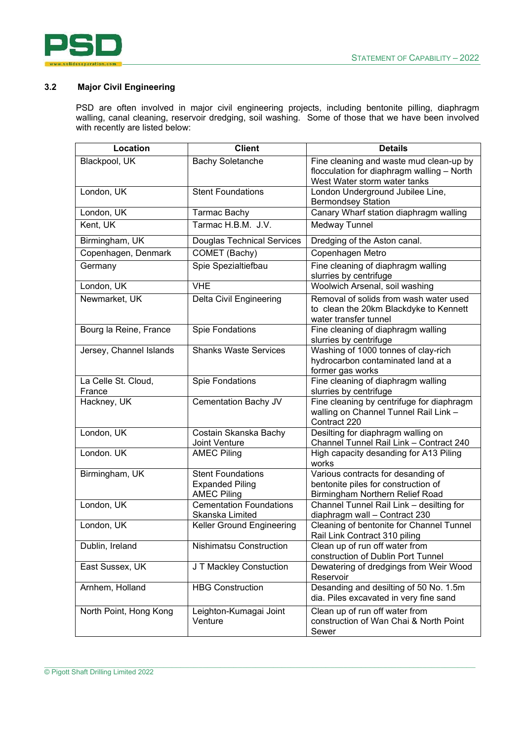

#### **3.2 Major Civil Engineering**

PSD are often involved in major civil engineering projects, including bentonite pilling, diaphragm walling, canal cleaning, reservoir dredging, soil washing. Some of those that we have been involved with recently are listed below:

| Location                      | <b>Client</b>                                     | <b>Details</b>                                                                                            |
|-------------------------------|---------------------------------------------------|-----------------------------------------------------------------------------------------------------------|
| Blackpool, UK                 | <b>Bachy Soletanche</b>                           | Fine cleaning and waste mud clean-up by                                                                   |
|                               |                                                   | flocculation for diaphragm walling - North                                                                |
|                               |                                                   | West Water storm water tanks                                                                              |
| London, UK                    | <b>Stent Foundations</b>                          | London Underground Jubilee Line,                                                                          |
|                               |                                                   | <b>Bermondsey Station</b>                                                                                 |
| London, UK                    | <b>Tarmac Bachy</b>                               | Canary Wharf station diaphragm walling                                                                    |
| Kent, UK                      | Tarmac H.B.M. J.V.                                | Medway Tunnel                                                                                             |
| Birmingham, UK                | <b>Douglas Technical Services</b>                 | Dredging of the Aston canal.                                                                              |
| Copenhagen, Denmark           | COMET (Bachy)                                     | Copenhagen Metro                                                                                          |
| Germany                       | Spie Spezialtiefbau                               | Fine cleaning of diaphragm walling<br>slurries by centrifuge                                              |
| London, UK                    | <b>VHE</b>                                        | Woolwich Arsenal, soil washing                                                                            |
| Newmarket, UK                 | Delta Civil Engineering                           | Removal of solids from wash water used<br>to clean the 20km Blackdyke to Kennett<br>water transfer tunnel |
| Bourg la Reine, France        | <b>Spie Fondations</b>                            | Fine cleaning of diaphragm walling<br>slurries by centrifuge                                              |
| Jersey, Channel Islands       | <b>Shanks Waste Services</b>                      | Washing of 1000 tonnes of clay-rich<br>hydrocarbon contaminated land at a<br>former gas works             |
| La Celle St. Cloud,<br>France | <b>Spie Fondations</b>                            | Fine cleaning of diaphragm walling<br>slurries by centrifuge                                              |
| Hackney, UK                   | Cementation Bachy JV                              | Fine cleaning by centrifuge for diaphragm                                                                 |
|                               |                                                   | walling on Channel Tunnel Rail Link -<br>Contract 220                                                     |
| London, UK                    | Costain Skanska Bachy<br>Joint Venture            | Desilting for diaphragm walling on<br>Channel Tunnel Rail Link - Contract 240                             |
| London. UK                    | <b>AMEC Piling</b>                                | High capacity desanding for A13 Piling<br>works                                                           |
| Birmingham, UK                | <b>Stent Foundations</b>                          | Various contracts for desanding of                                                                        |
|                               | <b>Expanded Piling</b>                            | bentonite piles for construction of                                                                       |
|                               | <b>AMEC Piling</b>                                | Birmingham Northern Relief Road                                                                           |
| London, UK                    | <b>Cementation Foundations</b><br>Skanska Limited | Channel Tunnel Rail Link - desilting for<br>diaphragm wall - Contract 230                                 |
| London, UK                    | Keller Ground Engineering                         | Cleaning of bentonite for Channel Tunnel<br>Rail Link Contract 310 piling                                 |
| Dublin, Ireland               | <b>Nishimatsu Construction</b>                    | Clean up of run off water from<br>construction of Dublin Port Tunnel                                      |
| East Sussex, UK               | J T Mackley Constuction                           | Dewatering of dredgings from Weir Wood<br>Reservoir                                                       |
| Arnhem, Holland               | <b>HBG Construction</b>                           | Desanding and desilting of 50 No. 1.5m<br>dia. Piles excavated in very fine sand                          |
| North Point, Hong Kong        | Leighton-Kumagai Joint<br>Venture                 | Clean up of run off water from<br>construction of Wan Chai & North Point<br>Sewer                         |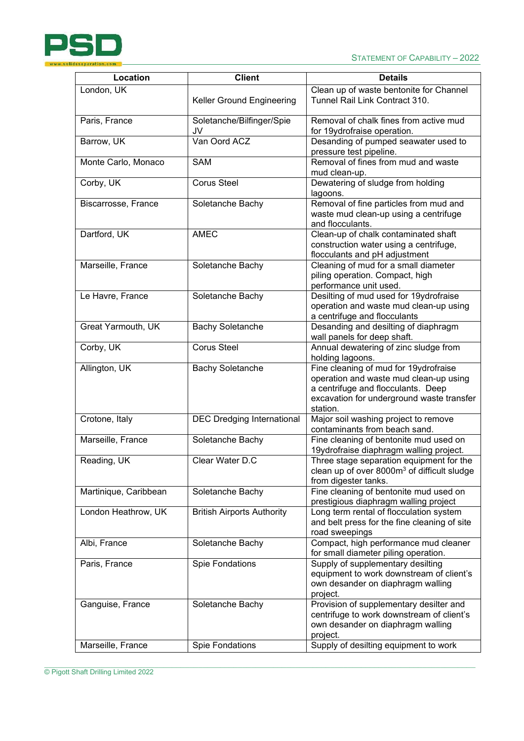

| Location              | <b>Client</b>                     | <b>Details</b>                                                                                                                                                                 |
|-----------------------|-----------------------------------|--------------------------------------------------------------------------------------------------------------------------------------------------------------------------------|
| London, UK            |                                   | Clean up of waste bentonite for Channel                                                                                                                                        |
|                       | Keller Ground Engineering         | Tunnel Rail Link Contract 310.                                                                                                                                                 |
| Paris, France         | Soletanche/Bilfinger/Spie<br>JV   | Removal of chalk fines from active mud<br>for 19ydrofraise operation.                                                                                                          |
| Barrow, UK            | Van Oord ACZ                      | Desanding of pumped seawater used to<br>pressure test pipeline.                                                                                                                |
| Monte Carlo, Monaco   | <b>SAM</b>                        | Removal of fines from mud and waste<br>mud clean-up.                                                                                                                           |
| Corby, UK             | <b>Corus Steel</b>                | Dewatering of sludge from holding<br>lagoons.                                                                                                                                  |
| Biscarrosse, France   | Soletanche Bachy                  | Removal of fine particles from mud and<br>waste mud clean-up using a centrifuge<br>and flocculants.                                                                            |
| Dartford, UK          | <b>AMEC</b>                       | Clean-up of chalk contaminated shaft<br>construction water using a centrifuge,<br>flocculants and pH adjustment                                                                |
| Marseille, France     | Soletanche Bachy                  | Cleaning of mud for a small diameter<br>piling operation. Compact, high<br>performance unit used.                                                                              |
| Le Havre, France      | Soletanche Bachy                  | Desilting of mud used for 19ydrofraise<br>operation and waste mud clean-up using<br>a centrifuge and flocculants                                                               |
| Great Yarmouth, UK    | <b>Bachy Soletanche</b>           | Desanding and desilting of diaphragm<br>wall panels for deep shaft.                                                                                                            |
| Corby, UK             | <b>Corus Steel</b>                | Annual dewatering of zinc sludge from<br>holding lagoons.                                                                                                                      |
| Allington, UK         | <b>Bachy Soletanche</b>           | Fine cleaning of mud for 19ydrofraise<br>operation and waste mud clean-up using<br>a centrifuge and flocculants. Deep<br>excavation for underground waste transfer<br>station. |
| Crotone, Italy        | <b>DEC Dredging International</b> | Major soil washing project to remove<br>contaminants from beach sand.                                                                                                          |
| Marseille, France     | Soletanche Bachy                  | Fine cleaning of bentonite mud used on<br>19ydrofraise diaphragm walling project.                                                                                              |
| Reading, UK           | Clear Water D.C                   | Three stage separation equipment for the<br>clean up of over 8000m <sup>3</sup> of difficult sludge<br>from digester tanks.                                                    |
| Martinique, Caribbean | Soletanche Bachy                  | Fine cleaning of bentonite mud used on<br>prestigious diaphragm walling project                                                                                                |
| London Heathrow, UK   | <b>British Airports Authority</b> | Long term rental of flocculation system<br>and belt press for the fine cleaning of site<br>road sweepings                                                                      |
| Albi, France          | Soletanche Bachy                  | Compact, high performance mud cleaner<br>for small diameter piling operation.                                                                                                  |
| Paris, France         | <b>Spie Fondations</b>            | Supply of supplementary desilting<br>equipment to work downstream of client's<br>own desander on diaphragm walling<br>project.                                                 |
| Ganguise, France      | Soletanche Bachy                  | Provision of supplementary desilter and<br>centrifuge to work downstream of client's<br>own desander on diaphragm walling<br>project.                                          |
| Marseille, France     | <b>Spie Fondations</b>            | Supply of desilting equipment to work                                                                                                                                          |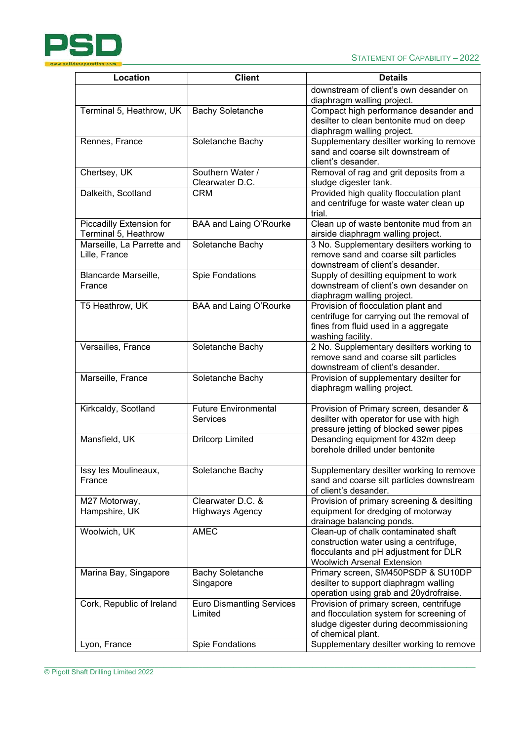

| Location                   | <b>Client</b>                    | <b>Details</b>                                                                    |
|----------------------------|----------------------------------|-----------------------------------------------------------------------------------|
|                            |                                  | downstream of client's own desander on                                            |
|                            |                                  | diaphragm walling project.                                                        |
| Terminal 5, Heathrow, UK   | <b>Bachy Soletanche</b>          | Compact high performance desander and                                             |
|                            |                                  | desilter to clean bentonite mud on deep                                           |
|                            |                                  | diaphragm walling project.                                                        |
| Rennes, France             | Soletanche Bachy                 | Supplementary desilter working to remove                                          |
|                            |                                  | sand and coarse silt downstream of                                                |
|                            |                                  | client's desander.                                                                |
| Chertsey, UK               | Southern Water /                 | Removal of rag and grit deposits from a                                           |
|                            | Clearwater D.C.                  | sludge digester tank.                                                             |
| Dalkeith, Scotland         | <b>CRM</b>                       | Provided high quality flocculation plant                                          |
|                            |                                  | and centrifuge for waste water clean up                                           |
|                            |                                  | trial.                                                                            |
| Piccadilly Extension for   | BAA and Laing O'Rourke           | Clean up of waste bentonite mud from an                                           |
| Terminal 5, Heathrow       |                                  | airside diaphragm walling project.                                                |
| Marseille, La Parrette and | Soletanche Bachy                 | 3 No. Supplementary desilters working to                                          |
| Lille, France              |                                  | remove sand and coarse silt particles                                             |
|                            |                                  | downstream of client's desander.                                                  |
| Blancarde Marseille,       | <b>Spie Fondations</b>           | Supply of desilting equipment to work                                             |
| France                     |                                  | downstream of client's own desander on                                            |
|                            |                                  | diaphragm walling project.                                                        |
| T5 Heathrow, UK            | BAA and Laing O'Rourke           | Provision of flocculation plant and                                               |
|                            |                                  | centrifuge for carrying out the removal of                                        |
|                            |                                  | fines from fluid used in a aggregate                                              |
|                            |                                  | washing facility.                                                                 |
| Versailles, France         | Soletanche Bachy                 | 2 No. Supplementary desilters working to<br>remove sand and coarse silt particles |
|                            |                                  | downstream of client's desander.                                                  |
| Marseille, France          |                                  |                                                                                   |
|                            | Soletanche Bachy                 | Provision of supplementary desilter for<br>diaphragm walling project.             |
|                            |                                  |                                                                                   |
| Kirkcaldy, Scotland        | <b>Future Environmental</b>      | Provision of Primary screen, desander &                                           |
|                            | <b>Services</b>                  | desilter with operator for use with high                                          |
|                            |                                  | pressure jetting of blocked sewer pipes                                           |
| Mansfield, UK              | <b>Drilcorp Limited</b>          | Desanding equipment for 432m deep                                                 |
|                            |                                  | borehole drilled under bentonite                                                  |
|                            |                                  |                                                                                   |
| Issy les Moulineaux,       | Soletanche Bachy                 | Supplementary desilter working to remove                                          |
| France                     |                                  | sand and coarse silt particles downstream                                         |
|                            |                                  | of client's desander.                                                             |
| M27 Motorway,              | Clearwater D.C. &                | Provision of primary screening & desilting                                        |
| Hampshire, UK              | <b>Highways Agency</b>           | equipment for dredging of motorway                                                |
|                            |                                  | drainage balancing ponds.                                                         |
| Woolwich, UK               | <b>AMEC</b>                      | Clean-up of chalk contaminated shaft                                              |
|                            |                                  | construction water using a centrifuge,                                            |
|                            |                                  | flocculants and pH adjustment for DLR                                             |
|                            |                                  | <b>Woolwich Arsenal Extension</b>                                                 |
| Marina Bay, Singapore      | <b>Bachy Soletanche</b>          | Primary screen, SM450PSDP & SU10DP                                                |
|                            | Singapore                        | desilter to support diaphragm walling                                             |
|                            |                                  | operation using grab and 20ydrofraise.                                            |
| Cork, Republic of Ireland  | <b>Euro Dismantling Services</b> | Provision of primary screen, centrifuge                                           |
|                            | Limited                          | and flocculation system for screening of                                          |
|                            |                                  | sludge digester during decommissioning                                            |
|                            |                                  | of chemical plant.                                                                |
| Lyon, France               | <b>Spie Fondations</b>           | Supplementary desilter working to remove                                          |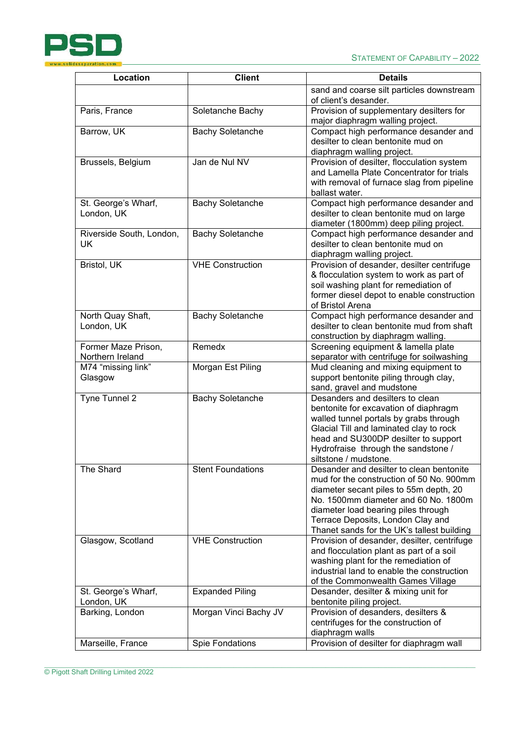

| Location                        | <b>Client</b>            | <b>Details</b>                                                                      |
|---------------------------------|--------------------------|-------------------------------------------------------------------------------------|
|                                 |                          | sand and coarse silt particles downstream                                           |
|                                 |                          | of client's desander.                                                               |
| Paris, France                   | Soletanche Bachy         | Provision of supplementary desilters for<br>major diaphragm walling project.        |
| Barrow, UK                      | <b>Bachy Soletanche</b>  | Compact high performance desander and                                               |
|                                 |                          | desilter to clean bentonite mud on                                                  |
|                                 |                          | diaphragm walling project.                                                          |
| Brussels, Belgium               | Jan de Nul NV            | Provision of desilter, flocculation system                                          |
|                                 |                          | and Lamella Plate Concentrator for trials                                           |
|                                 |                          | with removal of furnace slag from pipeline                                          |
|                                 |                          | ballast water.                                                                      |
| St. George's Wharf,             | <b>Bachy Soletanche</b>  | Compact high performance desander and                                               |
| London, UK                      |                          | desilter to clean bentonite mud on large                                            |
|                                 |                          | diameter (1800mm) deep piling project.                                              |
| Riverside South, London,        | <b>Bachy Soletanche</b>  | Compact high performance desander and                                               |
| UK                              |                          | desilter to clean bentonite mud on                                                  |
|                                 |                          | diaphragm walling project.                                                          |
| Bristol, UK                     | <b>VHE Construction</b>  | Provision of desander, desilter centrifuge                                          |
|                                 |                          | & flocculation system to work as part of                                            |
|                                 |                          | soil washing plant for remediation of                                               |
|                                 |                          | former diesel depot to enable construction                                          |
|                                 |                          | of Bristol Arena                                                                    |
| North Quay Shaft,<br>London, UK | <b>Bachy Soletanche</b>  | Compact high performance desander and<br>desilter to clean bentonite mud from shaft |
|                                 |                          |                                                                                     |
| Former Maze Prison,             | Remedx                   | construction by diaphragm walling.<br>Screening equipment & lamella plate           |
| Northern Ireland                |                          | separator with centrifuge for soilwashing                                           |
| M74 "missing link"              | Morgan Est Piling        | Mud cleaning and mixing equipment to                                                |
| Glasgow                         |                          | support bentonite piling through clay,                                              |
|                                 |                          | sand, gravel and mudstone                                                           |
| Tyne Tunnel 2                   | <b>Bachy Soletanche</b>  | Desanders and desilters to clean                                                    |
|                                 |                          | bentonite for excavation of diaphragm                                               |
|                                 |                          | walled tunnel portals by grabs through                                              |
|                                 |                          | Glacial Till and laminated clay to rock                                             |
|                                 |                          | head and SU300DP desilter to support                                                |
|                                 |                          | Hydrofraise through the sandstone /                                                 |
|                                 |                          | siltstone / mudstone.                                                               |
| The Shard                       | <b>Stent Foundations</b> | Desander and desilter to clean bentonite                                            |
|                                 |                          | mud for the construction of 50 No. 900mm                                            |
|                                 |                          | diameter secant piles to 55m depth, 20<br>No. 1500mm diameter and 60 No. 1800m      |
|                                 |                          | diameter load bearing piles through                                                 |
|                                 |                          | Terrace Deposits, London Clay and                                                   |
|                                 |                          | Thanet sands for the UK's tallest building                                          |
| Glasgow, Scotland               | <b>VHE Construction</b>  | Provision of desander, desilter, centrifuge                                         |
|                                 |                          | and flocculation plant as part of a soil                                            |
|                                 |                          | washing plant for the remediation of                                                |
|                                 |                          | industrial land to enable the construction                                          |
|                                 |                          | of the Commonwealth Games Village                                                   |
| St. George's Wharf,             | <b>Expanded Piling</b>   | Desander, desilter & mixing unit for                                                |
| London, UK                      |                          | bentonite piling project.                                                           |
| Barking, London                 | Morgan Vinci Bachy JV    | Provision of desanders, desilters &                                                 |
|                                 |                          | centrifuges for the construction of                                                 |
|                                 |                          | diaphragm walls                                                                     |
| Marseille, France               | Spie Fondations          | Provision of desilter for diaphragm wall                                            |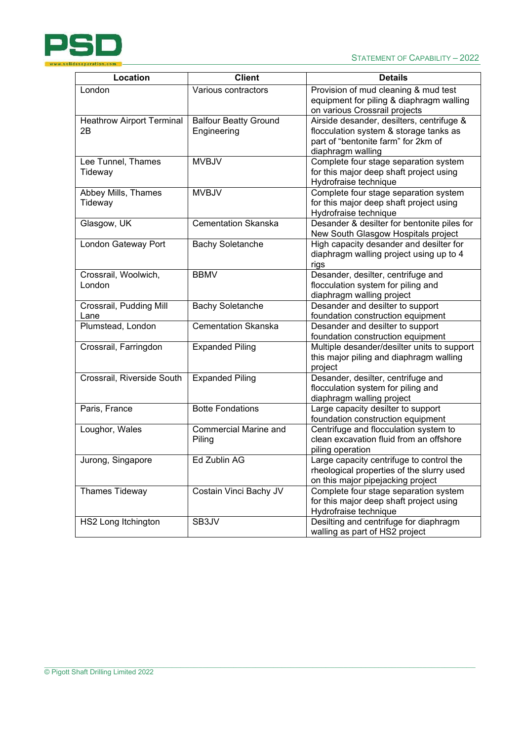

| Location                               | <b>Client</b>                               | <b>Details</b>                                                                                                                                  |
|----------------------------------------|---------------------------------------------|-------------------------------------------------------------------------------------------------------------------------------------------------|
| London                                 | Various contractors                         | Provision of mud cleaning & mud test<br>equipment for piling & diaphragm walling<br>on various Crossrail projects                               |
| <b>Heathrow Airport Terminal</b><br>2B | <b>Balfour Beatty Ground</b><br>Engineering | Airside desander, desilters, centrifuge &<br>flocculation system & storage tanks as<br>part of "bentonite farm" for 2km of<br>diaphragm walling |
| Lee Tunnel, Thames<br>Tideway          | <b>MVBJV</b>                                | Complete four stage separation system<br>for this major deep shaft project using<br>Hydrofraise technique                                       |
| Abbey Mills, Thames<br>Tideway         | <b>MVBJV</b>                                | Complete four stage separation system<br>for this major deep shaft project using<br>Hydrofraise technique                                       |
| Glasgow, UK                            | <b>Cementation Skanska</b>                  | Desander & desilter for bentonite piles for<br>New South Glasgow Hospitals project                                                              |
| London Gateway Port                    | <b>Bachy Soletanche</b>                     | High capacity desander and desilter for<br>diaphragm walling project using up to 4<br>rigs                                                      |
| Crossrail, Woolwich,<br>London         | <b>BBMV</b>                                 | Desander, desilter, centrifuge and<br>flocculation system for piling and<br>diaphragm walling project                                           |
| Crossrail, Pudding Mill<br>Lane        | <b>Bachy Soletanche</b>                     | Desander and desilter to support<br>foundation construction equipment                                                                           |
| Plumstead, London                      | <b>Cementation Skanska</b>                  | Desander and desilter to support<br>foundation construction equipment                                                                           |
| Crossrail, Farringdon                  | <b>Expanded Piling</b>                      | Multiple desander/desilter units to support<br>this major piling and diaphragm walling<br>project                                               |
| Crossrail, Riverside South             | <b>Expanded Piling</b>                      | Desander, desilter, centrifuge and<br>flocculation system for piling and<br>diaphragm walling project                                           |
| Paris, France                          | <b>Botte Fondations</b>                     | Large capacity desilter to support<br>foundation construction equipment                                                                         |
| Loughor, Wales                         | <b>Commercial Marine and</b><br>Piling      | Centrifuge and flocculation system to<br>clean excavation fluid from an offshore<br>piling operation                                            |
| Jurong, Singapore                      | Ed Zublin AG                                | Large capacity centrifuge to control the<br>rheological properties of the slurry used<br>on this major pipejacking project                      |
| Thames Tideway                         | Costain Vinci Bachy JV                      | Complete four stage separation system<br>for this major deep shaft project using<br>Hydrofraise technique                                       |
| HS2 Long Itchington                    | SB3JV                                       | Desilting and centrifuge for diaphragm<br>walling as part of HS2 project                                                                        |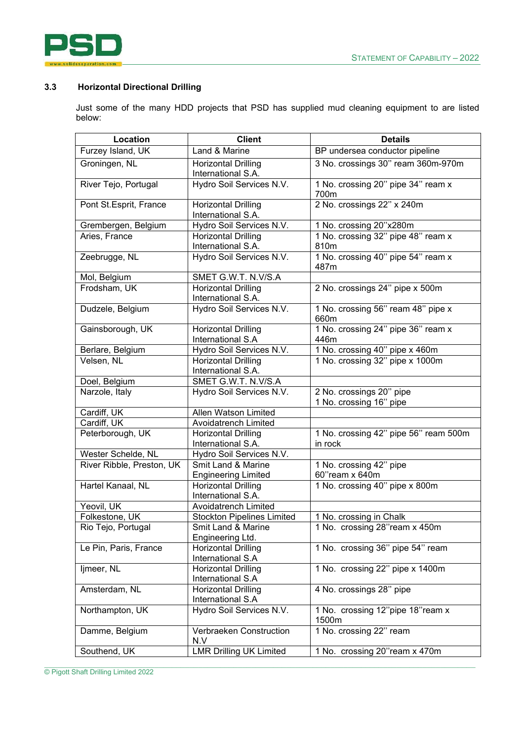

### **3.3 Horizontal Directional Drilling**

Just some of the many HDD projects that PSD has supplied mud cleaning equipment to are listed below:

| Location                  | <b>Client</b>                                           | <b>Details</b>                             |
|---------------------------|---------------------------------------------------------|--------------------------------------------|
| Furzey Island, UK         | Land & Marine                                           | BP undersea conductor pipeline             |
| Groningen, NL             | <b>Horizontal Drilling</b><br>International S.A.        | 3 No. crossings 30" ream 360m-970m         |
| River Tejo, Portugal      | Hydro Soil Services N.V.                                | 1 No. crossing 20" pipe 34" ream x<br>700m |
| Pont St.Esprit, France    | <b>Horizontal Drilling</b><br>International S.A.        | 2 No. crossings 22" x 240m                 |
| Grembergen, Belgium       | Hydro Soil Services N.V.                                | 1 No. crossing 20"x280m                    |
| Aries, France             | <b>Horizontal Drilling</b>                              | 1 No. crossing 32" pipe 48" ream x         |
|                           | International S.A.                                      | 810m                                       |
| Zeebrugge, NL             | Hydro Soil Services N.V.                                | 1 No. crossing 40" pipe 54" ream x<br>487m |
| Mol, Belgium              | SMET G.W.T. N.V/S.A                                     |                                            |
| Frodsham, UK              | <b>Horizontal Drilling</b>                              | 2 No. crossings 24" pipe x 500m            |
|                           | International S.A.                                      |                                            |
| Dudzele, Belgium          | Hydro Soil Services N.V.                                | 1 No. crossing 56" ream 48" pipe x<br>660m |
| Gainsborough, UK          | <b>Horizontal Drilling</b>                              | 1 No. crossing 24" pipe 36" ream x         |
|                           | International S.A                                       | 446m                                       |
| Berlare, Belgium          | Hydro Soil Services N.V.                                | 1 No. crossing 40" pipe x 460m             |
| Velsen, NL                | <b>Horizontal Drilling</b><br>International S.A.        | 1 No. crossing 32" pipe x 1000m            |
| Doel, Belgium             | SMET G.W.T. N.V/S.A                                     |                                            |
| Narzole, Italy            | Hydro Soil Services N.V.                                | 2 No. crossings 20" pipe                   |
|                           |                                                         | 1 No. crossing 16" pipe                    |
| Cardiff, UK               | Allen Watson Limited                                    |                                            |
| Cardiff, UK               | Avoidatrench Limited                                    |                                            |
| Peterborough, UK          | <b>Horizontal Drilling</b>                              | 1 No. crossing 42" pipe 56" ream 500m      |
|                           | International S.A.                                      | in rock                                    |
| Wester Schelde, NL        | Hydro Soil Services N.V.                                |                                            |
| River Ribble, Preston, UK | Smit Land & Marine                                      | 1 No. crossing 42" pipe                    |
|                           | <b>Engineering Limited</b>                              | 60"ream x 640m                             |
| Hartel Kanaal, NL         | <b>Horizontal Drilling</b>                              | 1 No. crossing 40" pipe x 800m             |
|                           | International S.A.                                      |                                            |
| Yeovil, UK                | <b>Avoidatrench Limited</b>                             |                                            |
| Folkestone, UK            | <b>Stockton Pipelines Limited</b><br>Smit Land & Marine | 1 No. crossing in Chalk                    |
| Rio Tejo, Portugal        | Engineering Ltd.                                        | 1 No. crossing 28"ream x 450m              |
| Le Pin, Paris, France     | <b>Horizontal Drilling</b>                              | 1 No. crossing 36" pipe 54" ream           |
|                           | International S.A                                       |                                            |
| ljmeer, NL                | <b>Horizontal Drilling</b>                              | 1 No. crossing 22" pipe x 1400m            |
|                           | International S.A                                       |                                            |
| Amsterdam, NL             | <b>Horizontal Drilling</b>                              | 4 No. crossings 28" pipe                   |
|                           | International S.A                                       |                                            |
| Northampton, UK           | Hydro Soil Services N.V.                                | 1 No. crossing 12"pipe 18"ream x<br>1500m  |
| Damme, Belgium            | Verbraeken Construction<br>N.V                          | 1 No. crossing 22" ream                    |
| Southend, UK              | <b>LMR Drilling UK Limited</b>                          | 1 No. crossing 20"ream x 470m              |
|                           |                                                         |                                            |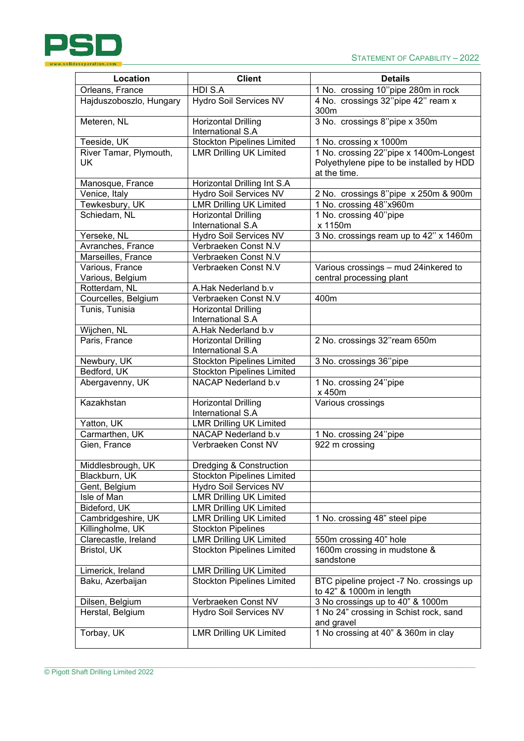

| Location                     | <b>Client</b>                                   | <b>Details</b>                                                                                     |
|------------------------------|-------------------------------------------------|----------------------------------------------------------------------------------------------------|
| Orleans, France              | HDI S.A                                         | 1 No. crossing 10"pipe 280m in rock                                                                |
| Hajduszoboszlo, Hungary      | <b>Hydro Soil Services NV</b>                   | 4 No. crossings 32"pipe 42" ream x<br>300m                                                         |
| Meteren, NL                  | <b>Horizontal Drilling</b><br>International S.A | 3 No. crossings 8"pipe x 350m                                                                      |
| Teeside, UK                  | <b>Stockton Pipelines Limited</b>               | 1 No. crossing x 1000m                                                                             |
| River Tamar, Plymouth,<br>UK | <b>LMR Drilling UK Limited</b>                  | 1 No. crossing 22"pipe x 1400m-Longest<br>Polyethylene pipe to be installed by HDD<br>at the time. |
| Manosque, France             | Horizontal Drilling Int S.A                     |                                                                                                    |
| Venice, Italy                | Hydro Soil Services NV                          | 2 No. crossings 8"pipe x 250m & 900m                                                               |
| Tewkesbury, UK               | <b>LMR Drilling UK Limited</b>                  | 1 No. crossing 48"x960m                                                                            |
| Schiedam, NL                 | <b>Horizontal Drilling</b>                      | 1 No. crossing 40"pipe                                                                             |
|                              | International S.A                               | x 1150m                                                                                            |
| Yerseke, NL                  | Hydro Soil Services NV                          | 3 No. crossings ream up to 42" x 1460m                                                             |
| Avranches, France            | Verbraeken Const N.V                            |                                                                                                    |
| Marseilles, France           | Verbraeken Const N.V                            |                                                                                                    |
| Various, France              | Verbraeken Const N.V                            | Various crossings - mud 24inkered to                                                               |
| Various, Belgium             |                                                 | central processing plant                                                                           |
| Rotterdam, NL                | A.Hak Nederland b.v                             |                                                                                                    |
| Courcelles, Belgium          | Verbraeken Const N.V                            | 400m                                                                                               |
| Tunis, Tunisia               | <b>Horizontal Drilling</b><br>International S.A |                                                                                                    |
| Wijchen, NL                  | A.Hak Nederland b.v                             |                                                                                                    |
| Paris, France                | <b>Horizontal Drilling</b><br>International S.A | 2 No. crossings 32"ream 650m                                                                       |
| Newbury, UK                  | <b>Stockton Pipelines Limited</b>               | 3 No. crossings 36"pipe                                                                            |
| Bedford, UK                  | <b>Stockton Pipelines Limited</b>               |                                                                                                    |
| Abergavenny, UK              | NACAP Nederland b.v                             | 1 No. crossing 24"pipe<br>x 450m                                                                   |
| Kazakhstan                   | <b>Horizontal Drilling</b><br>International S.A | Various crossings                                                                                  |
| Yatton, UK                   | <b>LMR Drilling UK Limited</b>                  |                                                                                                    |
| Carmarthen, UK               | NACAP Nederland b.v                             | 1 No. crossing 24"pipe                                                                             |
| Gien, France                 | Verbraeken Const NV                             | 922 m crossing                                                                                     |
| Middlesbrough, UK            | <b>Dredging &amp; Construction</b>              |                                                                                                    |
| Blackburn, UK                | <b>Stockton Pipelines Limited</b>               |                                                                                                    |
| Gent, Belgium                | <b>Hydro Soil Services NV</b>                   |                                                                                                    |
| Isle of Man                  | <b>LMR Drilling UK Limited</b>                  |                                                                                                    |
| Bideford, UK                 | <b>LMR Drilling UK Limited</b>                  |                                                                                                    |
| Cambridgeshire, UK           | <b>LMR Drilling UK Limited</b>                  | 1 No. crossing 48" steel pipe                                                                      |
| Killingholme, UK             | <b>Stockton Pipelines</b>                       |                                                                                                    |
| Clarecastle, Ireland         | <b>LMR Drilling UK Limited</b>                  | 550m crossing 40" hole                                                                             |
| Bristol, UK                  | <b>Stockton Pipelines Limited</b>               | 1600m crossing in mudstone &<br>sandstone                                                          |
| Limerick, Ireland            | <b>LMR Drilling UK Limited</b>                  |                                                                                                    |
| Baku, Azerbaijan             | <b>Stockton Pipelines Limited</b>               | BTC pipeline project -7 No. crossings up<br>to 42" & 1000m in length                               |
| Dilsen, Belgium              | Verbraeken Const NV                             | 3 No crossings up to 40" & 1000m                                                                   |
| Herstal, Belgium             | Hydro Soil Services NV                          | 1 No 24" crossing in Schist rock, sand<br>and gravel                                               |
| Torbay, UK                   | <b>LMR Drilling UK Limited</b>                  | 1 No crossing at 40" & 360m in clay                                                                |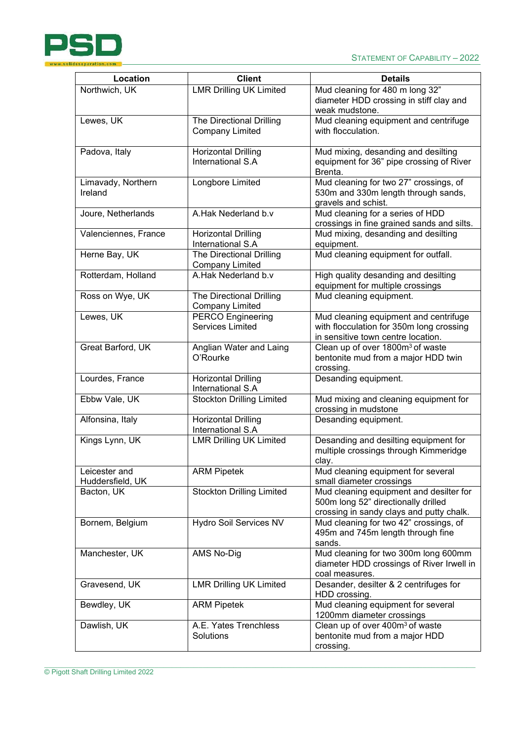

| Location             | <b>Client</b>                                   | <b>Details</b>                                                           |
|----------------------|-------------------------------------------------|--------------------------------------------------------------------------|
| Northwich, UK        | <b>LMR Drilling UK Limited</b>                  | Mud cleaning for 480 m long 32"                                          |
|                      |                                                 | diameter HDD crossing in stiff clay and                                  |
|                      |                                                 | weak mudstone.                                                           |
| Lewes, UK            | The Directional Drilling                        | Mud cleaning equipment and centrifuge                                    |
|                      | <b>Company Limited</b>                          | with flocculation.                                                       |
|                      |                                                 |                                                                          |
| Padova, Italy        | <b>Horizontal Drilling</b>                      | Mud mixing, desanding and desilting                                      |
|                      | International S.A                               | equipment for 36" pipe crossing of River                                 |
|                      |                                                 | Brenta.                                                                  |
| Limavady, Northern   | Longbore Limited                                | Mud cleaning for two 27" crossings, of                                   |
| Ireland              |                                                 | 530m and 330m length through sands,                                      |
|                      |                                                 | gravels and schist.                                                      |
| Joure, Netherlands   | A.Hak Nederland b.v                             | Mud cleaning for a series of HDD                                         |
|                      |                                                 | crossings in fine grained sands and silts.                               |
| Valenciennes, France | Horizontal Drilling                             | Mud mixing, desanding and desilting                                      |
|                      | International S.A                               | equipment.                                                               |
| Herne Bay, UK        | <b>The Directional Drilling</b>                 | Mud cleaning equipment for outfall.                                      |
|                      | <b>Company Limited</b><br>A.Hak Nederland b.v   |                                                                          |
| Rotterdam, Holland   |                                                 | High quality desanding and desilting<br>equipment for multiple crossings |
| Ross on Wye, UK      | The Directional Drilling                        | Mud cleaning equipment.                                                  |
|                      | <b>Company Limited</b>                          |                                                                          |
| Lewes, UK            | <b>PERCO Engineering</b>                        | Mud cleaning equipment and centrifuge                                    |
|                      | <b>Services Limited</b>                         | with flocculation for 350m long crossing                                 |
|                      |                                                 | in sensitive town centre location.                                       |
| Great Barford, UK    | Anglian Water and Laing                         | Clean up of over 1800m <sup>3</sup> of waste                             |
|                      | O'Rourke                                        | bentonite mud from a major HDD twin                                      |
|                      |                                                 | crossing.                                                                |
| Lourdes, France      | <b>Horizontal Drilling</b>                      | Desanding equipment.                                                     |
|                      | International S.A                               |                                                                          |
| Ebbw Vale, UK        | <b>Stockton Drilling Limited</b>                | Mud mixing and cleaning equipment for                                    |
|                      |                                                 | crossing in mudstone                                                     |
| Alfonsina, Italy     | <b>Horizontal Drilling</b><br>International S.A | Desanding equipment.                                                     |
| Kings Lynn, UK       | <b>LMR Drilling UK Limited</b>                  | Desanding and desilting equipment for                                    |
|                      |                                                 | multiple crossings through Kimmeridge                                    |
|                      |                                                 | clay.                                                                    |
| Leicester and        | <b>ARM Pipetek</b>                              | Mud cleaning equipment for several                                       |
| Huddersfield, UK     |                                                 | small diameter crossings                                                 |
| Bacton, UK           | <b>Stockton Drilling Limited</b>                | Mud cleaning equipment and desilter for                                  |
|                      |                                                 | 500m long 52" directionally drilled                                      |
|                      |                                                 | crossing in sandy clays and putty chalk.                                 |
| Bornem, Belgium      | Hydro Soil Services NV                          | Mud cleaning for two 42" crossings, of                                   |
|                      |                                                 | 495m and 745m length through fine                                        |
|                      |                                                 | sands.                                                                   |
| Manchester, UK       | AMS No-Dig                                      | Mud cleaning for two 300m long 600mm                                     |
|                      |                                                 | diameter HDD crossings of River Irwell in                                |
| Gravesend, UK        | <b>LMR Drilling UK Limited</b>                  | coal measures.<br>Desander, desilter & 2 centrifuges for                 |
|                      |                                                 | HDD crossing.                                                            |
| Bewdley, UK          | <b>ARM Pipetek</b>                              | Mud cleaning equipment for several                                       |
|                      |                                                 | 1200mm diameter crossings                                                |
| Dawlish, UK          | A.E. Yates Trenchless                           | Clean up of over 400m <sup>3</sup> of waste                              |
|                      | Solutions                                       | bentonite mud from a major HDD                                           |
|                      |                                                 | crossing.                                                                |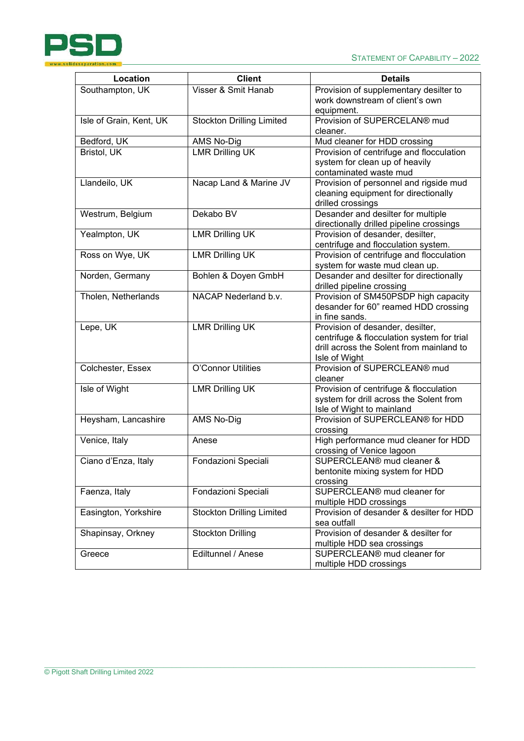© Pigott Shaft Drilling Limited 2022

| idsseparation.com       |                                  |                                                                                                                                             |  |
|-------------------------|----------------------------------|---------------------------------------------------------------------------------------------------------------------------------------------|--|
| Location                | <b>Client</b>                    | <b>Details</b>                                                                                                                              |  |
| Southampton, UK         | Visser & Smit Hanab              | Provision of supplementary desilter to<br>work downstream of client's own<br>equipment.                                                     |  |
| Isle of Grain, Kent, UK | <b>Stockton Drilling Limited</b> | Provision of SUPERCELAN® mud<br>cleaner.                                                                                                    |  |
| Bedford, UK             | AMS No-Dig                       | Mud cleaner for HDD crossing                                                                                                                |  |
| Bristol, UK             | <b>LMR Drilling UK</b>           | Provision of centrifuge and flocculation<br>system for clean up of heavily<br>contaminated waste mud                                        |  |
| Llandeilo, UK           | Nacap Land & Marine JV           | Provision of personnel and rigside mud<br>cleaning equipment for directionally<br>drilled crossings                                         |  |
| Westrum, Belgium        | Dekabo BV                        | Desander and desilter for multiple<br>directionally drilled pipeline crossings                                                              |  |
| Yealmpton, UK           | <b>LMR Drilling UK</b>           | Provision of desander, desilter,<br>centrifuge and flocculation system.                                                                     |  |
| Ross on Wye, UK         | <b>LMR Drilling UK</b>           | Provision of centrifuge and flocculation<br>system for waste mud clean up.                                                                  |  |
| Norden, Germany         | Bohlen & Doyen GmbH              | Desander and desilter for directionally<br>drilled pipeline crossing                                                                        |  |
| Tholen, Netherlands     | NACAP Nederland b.v.             | Provision of SM450PSDP high capacity<br>desander for 60" reamed HDD crossing<br>in fine sands.                                              |  |
| Lepe, UK                | <b>LMR Drilling UK</b>           | Provision of desander, desilter,<br>centrifuge & flocculation system for trial<br>drill across the Solent from mainland to<br>Isle of Wight |  |
| Colchester, Essex       | O'Connor Utilities               | Provision of SUPERCLEAN® mud<br>cleaner                                                                                                     |  |
| Isle of Wight           | <b>LMR Drilling UK</b>           | Provision of centrifuge & flocculation<br>system for drill across the Solent from<br>Isle of Wight to mainland                              |  |
| Heysham, Lancashire     | <b>AMS No-Dig</b>                | Provision of SUPERCLEAN® for HDD<br>crossing                                                                                                |  |
| Venice, Italy           | Anese                            | High performance mud cleaner for HDD<br>crossing of Venice lagoon                                                                           |  |
| Ciano d'Enza, Italy     | Fondazioni Speciali              | SUPERCLEAN <sup>®</sup> mud cleaner &<br>bentonite mixing system for HDD<br>crossing                                                        |  |
| Faenza, Italy           | Fondazioni Speciali              | SUPERCLEAN <sup>®</sup> mud cleaner for<br>multiple HDD crossings                                                                           |  |
| Easington, Yorkshire    | <b>Stockton Drilling Limited</b> | Provision of desander & desilter for HDD<br>sea outfall                                                                                     |  |
| Shapinsay, Orkney       | <b>Stockton Drilling</b>         | Provision of desander & desilter for<br>multiple HDD sea crossings                                                                          |  |
| Greece                  | Ediltunnel / Anese               | SUPERCLEAN® mud cleaner for<br>multiple HDD crossings                                                                                       |  |

 $\_$  , and the state of the state of the state of the state of the state of the state of the state of the state of the state of the state of the state of the state of the state of the state of the state of the state of the

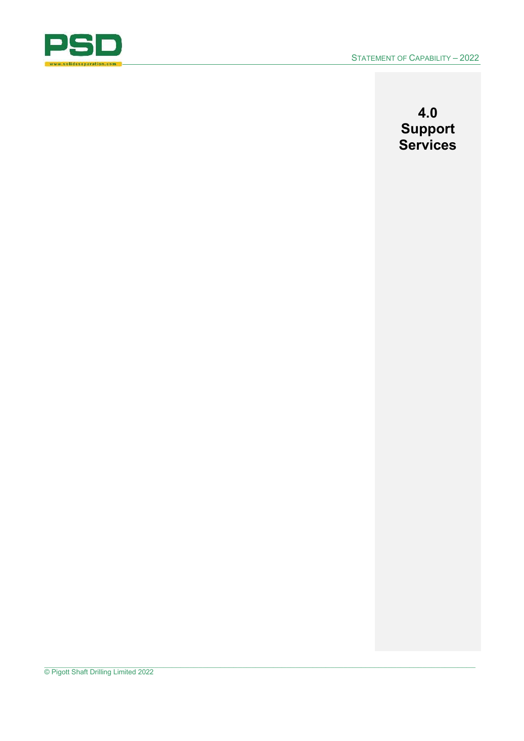

**4.0 Support Services**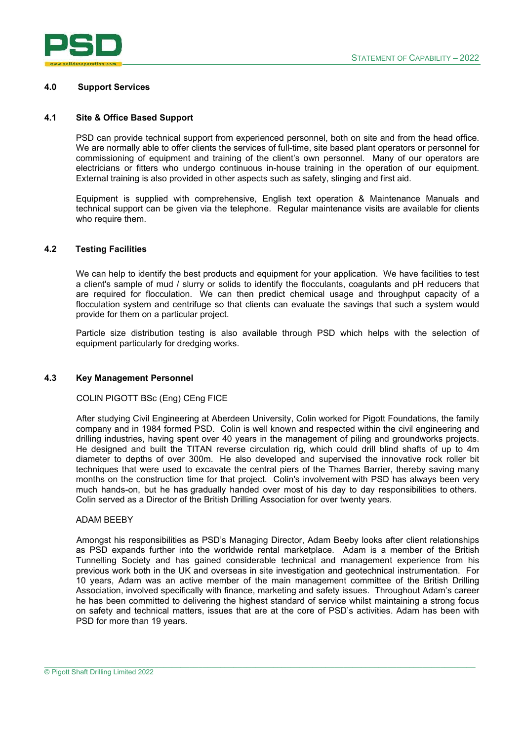

#### **4.0 Support Services**

#### **4.1 Site & Office Based Support**

PSD can provide technical support from experienced personnel, both on site and from the head office. We are normally able to offer clients the services of full-time, site based plant operators or personnel for commissioning of equipment and training of the client's own personnel. Many of our operators are electricians or fitters who undergo continuous in-house training in the operation of our equipment. External training is also provided in other aspects such as safety, slinging and first aid.

Equipment is supplied with comprehensive, English text operation & Maintenance Manuals and technical support can be given via the telephone. Regular maintenance visits are available for clients who require them.

#### **4.2 Testing Facilities**

We can help to identify the best products and equipment for your application. We have facilities to test a client's sample of mud / slurry or solids to identify the flocculants, coagulants and pH reducers that are required for flocculation. We can then predict chemical usage and throughput capacity of a flocculation system and centrifuge so that clients can evaluate the savings that such a system would provide for them on a particular project.

Particle size distribution testing is also available through PSD which helps with the selection of equipment particularly for dredging works.

#### **4.3 Key Management Personnel**

#### COLIN PIGOTT BSc (Eng) CEng FICE

After studying Civil Engineering at Aberdeen University, Colin worked for Pigott Foundations, the family company and in 1984 formed PSD. Colin is well known and respected within the civil engineering and drilling industries, having spent over 40 years in the management of piling and groundworks projects. He designed and built the TITAN reverse circulation rig, which could drill blind shafts of up to 4m diameter to depths of over 300m. He also developed and supervised the innovative rock roller bit techniques that were used to excavate the central piers of the Thames Barrier, thereby saving many months on the construction time for that project. Colin's involvement with PSD has always been very much hands-on, but he has gradually handed over most of his day to day responsibilities to others. Colin served as a Director of the British Drilling Association for over twenty years.

#### ADAM BEEBY

Amongst his responsibilities as PSD's Managing Director, Adam Beeby looks after client relationships as PSD expands further into the worldwide rental marketplace. Adam is a member of the British Tunnelling Society and has gained considerable technical and management experience from his previous work both in the UK and overseas in site investigation and geotechnical instrumentation. For 10 years, Adam was an active member of the main management committee of the British Drilling Association, involved specifically with finance, marketing and safety issues. Throughout Adam's career he has been committed to delivering the highest standard of service whilst maintaining a strong focus on safety and technical matters, issues that are at the core of PSD's activities. Adam has been with PSD for more than 19 years.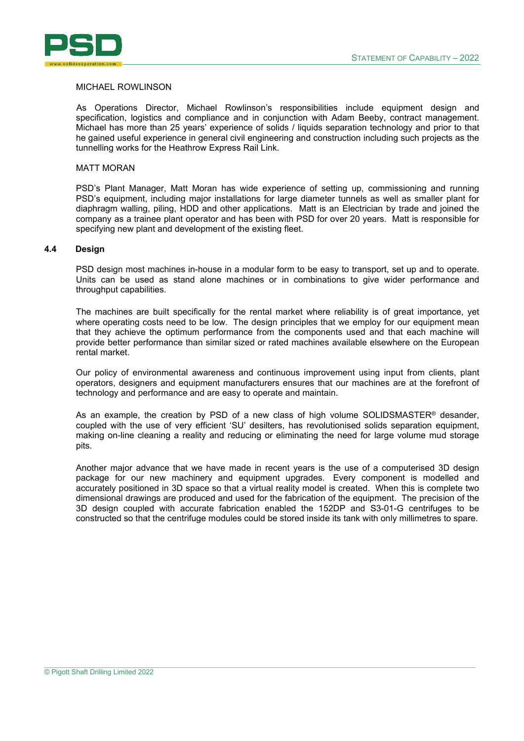

#### MICHAEL ROWLINSON

As Operations Director, Michael Rowlinson's responsibilities include equipment design and specification, logistics and compliance and in conjunction with Adam Beeby, contract management. Michael has more than 25 years' experience of solids / liquids separation technology and prior to that he gained useful experience in general civil engineering and construction including such projects as the tunnelling works for the Heathrow Express Rail Link.

#### MATT MORAN

PSD's Plant Manager, Matt Moran has wide experience of setting up, commissioning and running PSD's equipment, including major installations for large diameter tunnels as well as smaller plant for diaphragm walling, piling, HDD and other applications. Matt is an Electrician by trade and joined the company as a trainee plant operator and has been with PSD for over 20 years. Matt is responsible for specifying new plant and development of the existing fleet.

#### **4.4 Design**

PSD design most machines in-house in a modular form to be easy to transport, set up and to operate. Units can be used as stand alone machines or in combinations to give wider performance and throughput capabilities.

The machines are built specifically for the rental market where reliability is of great importance, yet where operating costs need to be low. The design principles that we employ for our equipment mean that they achieve the optimum performance from the components used and that each machine will provide better performance than similar sized or rated machines available elsewhere on the European rental market.

Our policy of environmental awareness and continuous improvement using input from clients, plant operators, designers and equipment manufacturers ensures that our machines are at the forefront of technology and performance and are easy to operate and maintain.

As an example, the creation by PSD of a new class of high volume SOLIDSMASTER<sup>®</sup> desander, coupled with the use of very efficient 'SU' desilters, has revolutionised solids separation equipment, making on-line cleaning a reality and reducing or eliminating the need for large volume mud storage pits.

Another major advance that we have made in recent years is the use of a computerised 3D design package for our new machinery and equipment upgrades. Every component is modelled and accurately positioned in 3D space so that a virtual reality model is created. When this is complete two dimensional drawings are produced and used for the fabrication of the equipment. The precision of the 3D design coupled with accurate fabrication enabled the 152DP and S3-01-G centrifuges to be constructed so that the centrifuge modules could be stored inside its tank with only millimetres to spare.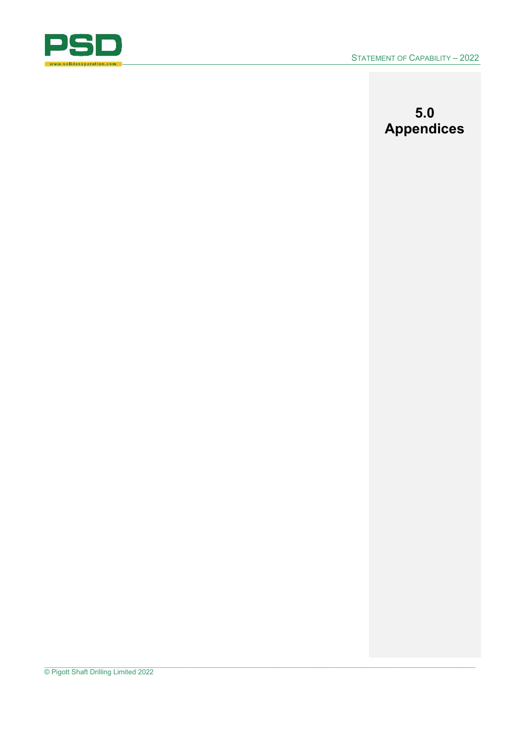

# **5.0 Appendices**